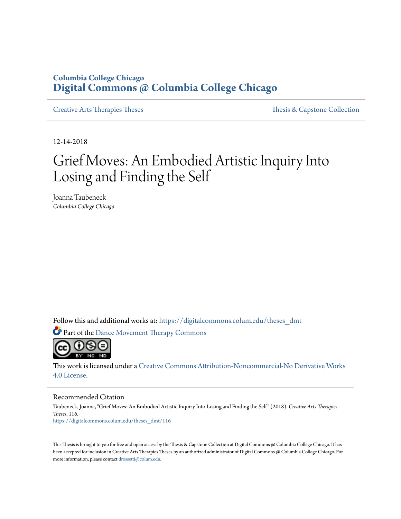## **Columbia College Chicago [Digital Commons @ Columbia College Chicago](https://digitalcommons.colum.edu?utm_source=digitalcommons.colum.edu%2Ftheses_dmt%2F116&utm_medium=PDF&utm_campaign=PDFCoverPages)**

[Creative Arts Therapies Theses](https://digitalcommons.colum.edu/theses_dmt?utm_source=digitalcommons.colum.edu%2Ftheses_dmt%2F116&utm_medium=PDF&utm_campaign=PDFCoverPages) Theses Theses [Thesis & Capstone Collection](https://digitalcommons.colum.edu/thesiscoll?utm_source=digitalcommons.colum.edu%2Ftheses_dmt%2F116&utm_medium=PDF&utm_campaign=PDFCoverPages)

12-14-2018

# Grief Moves: An Embodied Artistic Inquiry Into Losing and Finding the Self

Joanna Taubeneck *Columbia College Chicago*

Follow this and additional works at: [https://digitalcommons.colum.edu/theses\\_dmt](https://digitalcommons.colum.edu/theses_dmt?utm_source=digitalcommons.colum.edu%2Ftheses_dmt%2F116&utm_medium=PDF&utm_campaign=PDFCoverPages)

Part of the [Dance Movement Therapy Commons](http://network.bepress.com/hgg/discipline/1150?utm_source=digitalcommons.colum.edu%2Ftheses_dmt%2F116&utm_medium=PDF&utm_campaign=PDFCoverPages)



This work is licensed under a [Creative Commons Attribution-Noncommercial-No Derivative Works](http://creativecommons.org/licenses/by-nc-nd/4.0/) [4.0 License.](http://creativecommons.org/licenses/by-nc-nd/4.0/)

#### Recommended Citation

Taubeneck, Joanna, "Grief Moves: An Embodied Artistic Inquiry Into Losing and Finding the Self" (2018). *Creative Arts Therapies Theses*. 116. [https://digitalcommons.colum.edu/theses\\_dmt/116](https://digitalcommons.colum.edu/theses_dmt/116?utm_source=digitalcommons.colum.edu%2Ftheses_dmt%2F116&utm_medium=PDF&utm_campaign=PDFCoverPages)

This Thesis is brought to you for free and open access by the Thesis & Capstone Collection at Digital Commons @ Columbia College Chicago. It has been accepted for inclusion in Creative Arts Therapies Theses by an authorized administrator of Digital Commons @ Columbia College Chicago. For more information, please contact [drossetti@colum.edu.](mailto:drossetti@colum.edu)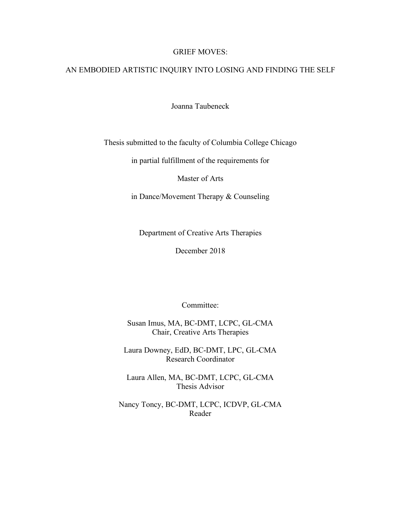## GRIEF MOVES:

## AN EMBODIED ARTISTIC INQUIRY INTO LOSING AND FINDING THE SELF

Joanna Taubeneck

Thesis submitted to the faculty of Columbia College Chicago

in partial fulfillment of the requirements for

Master of Arts

in Dance/Movement Therapy & Counseling

Department of Creative Arts Therapies

December 2018

Committee:

Susan Imus, MA, BC-DMT, LCPC, GL-CMA Chair, Creative Arts Therapies

Laura Downey, EdD, BC-DMT, LPC, GL-CMA Research Coordinator

Laura Allen, MA, BC-DMT, LCPC, GL-CMA Thesis Advisor

Nancy Toncy, BC-DMT, LCPC, ICDVP, GL-CMA Reader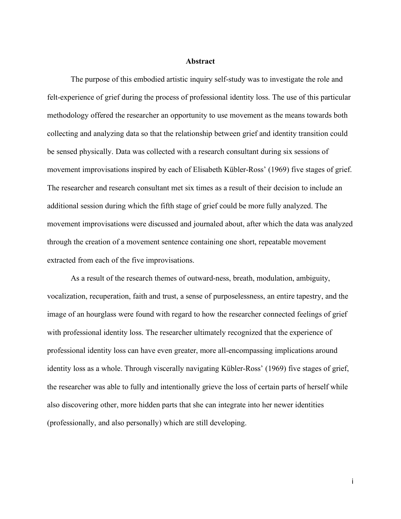## **Abstract**

The purpose of this embodied artistic inquiry self-study was to investigate the role and felt-experience of grief during the process of professional identity loss. The use of this particular methodology offered the researcher an opportunity to use movement as the means towards both collecting and analyzing data so that the relationship between grief and identity transition could be sensed physically. Data was collected with a research consultant during six sessions of movement improvisations inspired by each of Elisabeth Kübler-Ross' (1969) five stages of grief. The researcher and research consultant met six times as a result of their decision to include an additional session during which the fifth stage of grief could be more fully analyzed. The movement improvisations were discussed and journaled about, after which the data was analyzed through the creation of a movement sentence containing one short, repeatable movement extracted from each of the five improvisations.

As a result of the research themes of outward-ness, breath, modulation, ambiguity, vocalization, recuperation, faith and trust, a sense of purposelessness, an entire tapestry, and the image of an hourglass were found with regard to how the researcher connected feelings of grief with professional identity loss. The researcher ultimately recognized that the experience of professional identity loss can have even greater, more all-encompassing implications around identity loss as a whole. Through viscerally navigating Kübler-Ross' (1969) five stages of grief, the researcher was able to fully and intentionally grieve the loss of certain parts of herself while also discovering other, more hidden parts that she can integrate into her newer identities (professionally, and also personally) which are still developing.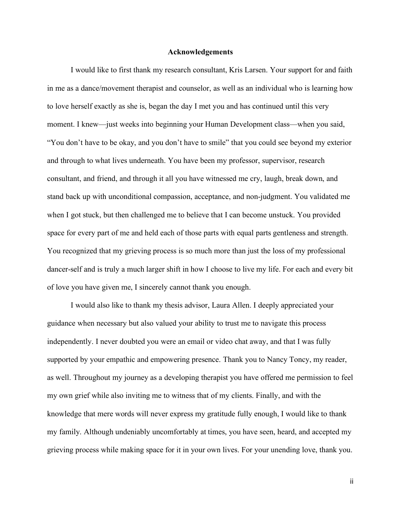#### **Acknowledgements**

I would like to first thank my research consultant, Kris Larsen. Your support for and faith in me as a dance/movement therapist and counselor, as well as an individual who is learning how to love herself exactly as she is, began the day I met you and has continued until this very moment. I knew—just weeks into beginning your Human Development class—when you said, "You don't have to be okay, and you don't have to smile" that you could see beyond my exterior and through to what lives underneath. You have been my professor, supervisor, research consultant, and friend, and through it all you have witnessed me cry, laugh, break down, and stand back up with unconditional compassion, acceptance, and non-judgment. You validated me when I got stuck, but then challenged me to believe that I can become unstuck. You provided space for every part of me and held each of those parts with equal parts gentleness and strength. You recognized that my grieving process is so much more than just the loss of my professional dancer-self and is truly a much larger shift in how I choose to live my life. For each and every bit of love you have given me, I sincerely cannot thank you enough.

I would also like to thank my thesis advisor, Laura Allen. I deeply appreciated your guidance when necessary but also valued your ability to trust me to navigate this process independently. I never doubted you were an email or video chat away, and that I was fully supported by your empathic and empowering presence. Thank you to Nancy Toncy, my reader, as well. Throughout my journey as a developing therapist you have offered me permission to feel my own grief while also inviting me to witness that of my clients. Finally, and with the knowledge that mere words will never express my gratitude fully enough, I would like to thank my family. Although undeniably uncomfortably at times, you have seen, heard, and accepted my grieving process while making space for it in your own lives. For your unending love, thank you.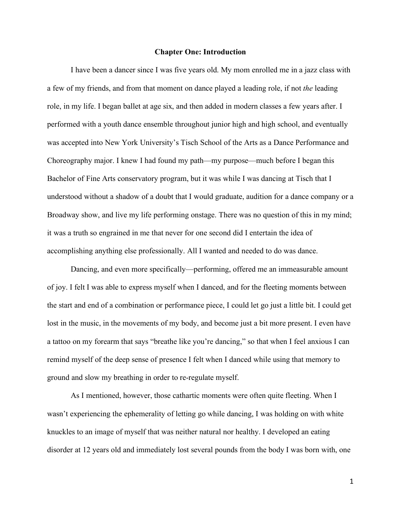## **Chapter One: Introduction**

I have been a dancer since I was five years old. My mom enrolled me in a jazz class with a few of my friends, and from that moment on dance played a leading role, if not *the* leading role, in my life. I began ballet at age six, and then added in modern classes a few years after. I performed with a youth dance ensemble throughout junior high and high school, and eventually was accepted into New York University's Tisch School of the Arts as a Dance Performance and Choreography major. I knew I had found my path—my purpose—much before I began this Bachelor of Fine Arts conservatory program, but it was while I was dancing at Tisch that I understood without a shadow of a doubt that I would graduate, audition for a dance company or a Broadway show, and live my life performing onstage. There was no question of this in my mind; it was a truth so engrained in me that never for one second did I entertain the idea of accomplishing anything else professionally. All I wanted and needed to do was dance.

Dancing, and even more specifically—performing, offered me an immeasurable amount of joy. I felt I was able to express myself when I danced, and for the fleeting moments between the start and end of a combination or performance piece, I could let go just a little bit. I could get lost in the music, in the movements of my body, and become just a bit more present. I even have a tattoo on my forearm that says "breathe like you're dancing," so that when I feel anxious I can remind myself of the deep sense of presence I felt when I danced while using that memory to ground and slow my breathing in order to re-regulate myself.

As I mentioned, however, those cathartic moments were often quite fleeting. When I wasn't experiencing the ephemerality of letting go while dancing, I was holding on with white knuckles to an image of myself that was neither natural nor healthy. I developed an eating disorder at 12 years old and immediately lost several pounds from the body I was born with, one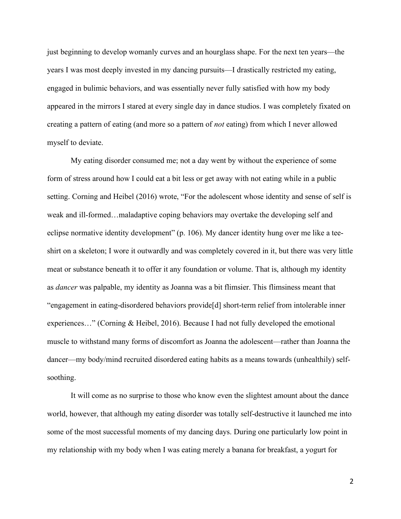just beginning to develop womanly curves and an hourglass shape. For the next ten years—the years I was most deeply invested in my dancing pursuits—I drastically restricted my eating, engaged in bulimic behaviors, and was essentially never fully satisfied with how my body appeared in the mirrors I stared at every single day in dance studios. I was completely fixated on creating a pattern of eating (and more so a pattern of *not* eating) from which I never allowed myself to deviate.

My eating disorder consumed me; not a day went by without the experience of some form of stress around how I could eat a bit less or get away with not eating while in a public setting. Corning and Heibel (2016) wrote, "For the adolescent whose identity and sense of self is weak and ill-formed…maladaptive coping behaviors may overtake the developing self and eclipse normative identity development" (p. 106). My dancer identity hung over me like a teeshirt on a skeleton; I wore it outwardly and was completely covered in it, but there was very little meat or substance beneath it to offer it any foundation or volume. That is, although my identity as *dancer* was palpable, my identity as Joanna was a bit flimsier. This flimsiness meant that "engagement in eating-disordered behaviors provide[d] short-term relief from intolerable inner experiences…" (Corning & Heibel, 2016). Because I had not fully developed the emotional muscle to withstand many forms of discomfort as Joanna the adolescent—rather than Joanna the dancer—my body/mind recruited disordered eating habits as a means towards (unhealthily) selfsoothing.

It will come as no surprise to those who know even the slightest amount about the dance world, however, that although my eating disorder was totally self-destructive it launched me into some of the most successful moments of my dancing days. During one particularly low point in my relationship with my body when I was eating merely a banana for breakfast, a yogurt for

 $\mathcal{L}$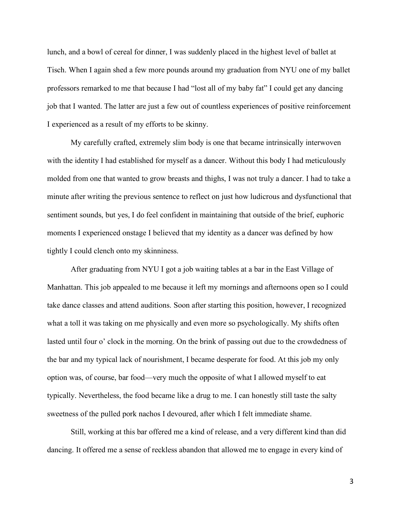lunch, and a bowl of cereal for dinner, I was suddenly placed in the highest level of ballet at Tisch. When I again shed a few more pounds around my graduation from NYU one of my ballet professors remarked to me that because I had "lost all of my baby fat" I could get any dancing job that I wanted. The latter are just a few out of countless experiences of positive reinforcement I experienced as a result of my efforts to be skinny.

My carefully crafted, extremely slim body is one that became intrinsically interwoven with the identity I had established for myself as a dancer. Without this body I had meticulously molded from one that wanted to grow breasts and thighs, I was not truly a dancer. I had to take a minute after writing the previous sentence to reflect on just how ludicrous and dysfunctional that sentiment sounds, but yes, I do feel confident in maintaining that outside of the brief, euphoric moments I experienced onstage I believed that my identity as a dancer was defined by how tightly I could clench onto my skinniness.

After graduating from NYU I got a job waiting tables at a bar in the East Village of Manhattan. This job appealed to me because it left my mornings and afternoons open so I could take dance classes and attend auditions. Soon after starting this position, however, I recognized what a toll it was taking on me physically and even more so psychologically. My shifts often lasted until four o' clock in the morning. On the brink of passing out due to the crowdedness of the bar and my typical lack of nourishment, I became desperate for food. At this job my only option was, of course, bar food—very much the opposite of what I allowed myself to eat typically. Nevertheless, the food became like a drug to me. I can honestly still taste the salty sweetness of the pulled pork nachos I devoured, after which I felt immediate shame.

Still, working at this bar offered me a kind of release, and a very different kind than did dancing. It offered me a sense of reckless abandon that allowed me to engage in every kind of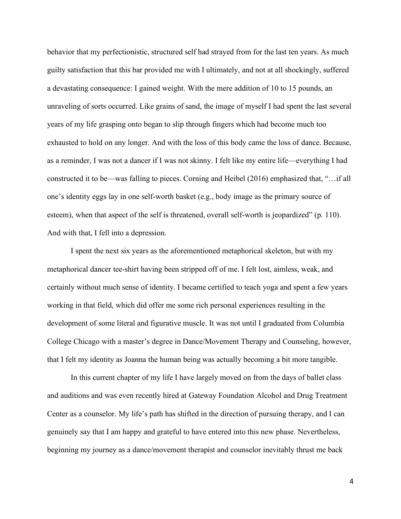behavior that my perfectionistic, structured self had strayed from for the last ten years. As much guilty satisfaction that this bar provided me with I ultimately, and not at all shockingly, suffered a devastating consequence: I gained weight. With the mere addition of 10 to 15 pounds, an unraveling of sorts occurred. Like grains of sand, the image of myself I had spent the last several years of my life grasping onto began to slip through fingers which had become much too exhausted to hold on any longer. And with the loss of this body came the loss of dance. Because, as a reminder, I was not a dancer if I was not skinny. I felt like my entire life—everything I had constructed it to be—was falling to pieces. Corning and Heibel (2016) emphasized that, "…if all one's identity eggs lay in one self-worth basket (e.g., body image as the primary source of esteem), when that aspect of the self is threatened, overall self-worth is jeopardized" (p. 110). And with that, I fell into a depression.

I spent the next six years as the aforementioned metaphorical skeleton, but with my metaphorical dancer tee-shirt having been stripped off of me. I felt lost, aimless, weak, and certainly without much sense of identity. I became certified to teach yoga and spent a few years working in that field, which did offer me some rich personal experiences resulting in the development of some literal and figurative muscle. It was not until I graduated from Columbia College Chicago with a master's degree in Dance/Movement Therapy and Counseling, however, that I felt my identity as Joanna the human being was actually becoming a bit more tangible.

In this current chapter of my life I have largely moved on from the days of ballet class and auditions and was even recently hired at Gateway Foundation Alcohol and Drug Treatment Center as a counselor. My life's path has shifted in the direction of pursuing therapy, and I can genuinely say that I am happy and grateful to have entered into this new phase. Nevertheless, beginning my journey as a dance/movement therapist and counselor inevitably thrust me back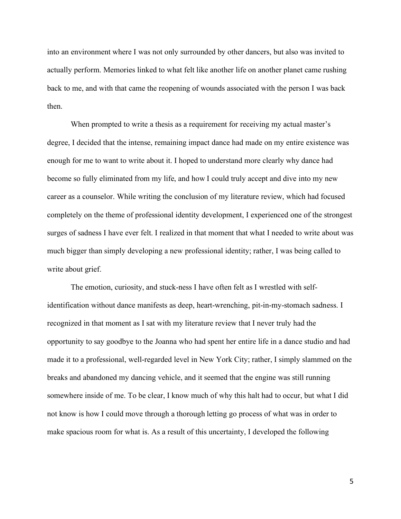into an environment where I was not only surrounded by other dancers, but also was invited to actually perform. Memories linked to what felt like another life on another planet came rushing back to me, and with that came the reopening of wounds associated with the person I was back then.

When prompted to write a thesis as a requirement for receiving my actual master's degree, I decided that the intense, remaining impact dance had made on my entire existence was enough for me to want to write about it. I hoped to understand more clearly why dance had become so fully eliminated from my life, and how I could truly accept and dive into my new career as a counselor. While writing the conclusion of my literature review, which had focused completely on the theme of professional identity development, I experienced one of the strongest surges of sadness I have ever felt. I realized in that moment that what I needed to write about was much bigger than simply developing a new professional identity; rather, I was being called to write about grief.

The emotion, curiosity, and stuck-ness I have often felt as I wrestled with selfidentification without dance manifests as deep, heart-wrenching, pit-in-my-stomach sadness. I recognized in that moment as I sat with my literature review that I never truly had the opportunity to say goodbye to the Joanna who had spent her entire life in a dance studio and had made it to a professional, well-regarded level in New York City; rather, I simply slammed on the breaks and abandoned my dancing vehicle, and it seemed that the engine was still running somewhere inside of me. To be clear, I know much of why this halt had to occur, but what I did not know is how I could move through a thorough letting go process of what was in order to make spacious room for what is. As a result of this uncertainty, I developed the following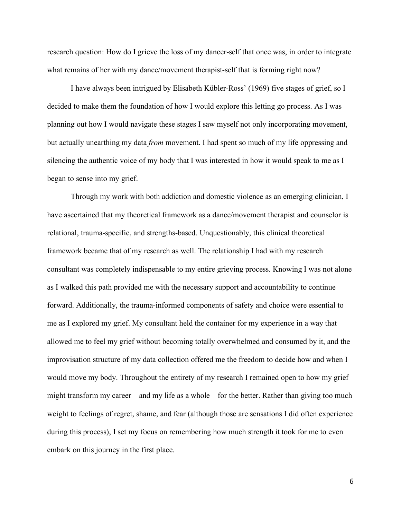research question: How do I grieve the loss of my dancer-self that once was, in order to integrate what remains of her with my dance/movement therapist-self that is forming right now?

I have always been intrigued by Elisabeth Kübler-Ross' (1969) five stages of grief, so I decided to make them the foundation of how I would explore this letting go process. As I was planning out how I would navigate these stages I saw myself not only incorporating movement, but actually unearthing my data *from* movement. I had spent so much of my life oppressing and silencing the authentic voice of my body that I was interested in how it would speak to me as I began to sense into my grief.

Through my work with both addiction and domestic violence as an emerging clinician, I have ascertained that my theoretical framework as a dance/movement therapist and counselor is relational, trauma-specific, and strengths-based. Unquestionably, this clinical theoretical framework became that of my research as well. The relationship I had with my research consultant was completely indispensable to my entire grieving process. Knowing I was not alone as I walked this path provided me with the necessary support and accountability to continue forward. Additionally, the trauma-informed components of safety and choice were essential to me as I explored my grief. My consultant held the container for my experience in a way that allowed me to feel my grief without becoming totally overwhelmed and consumed by it, and the improvisation structure of my data collection offered me the freedom to decide how and when I would move my body. Throughout the entirety of my research I remained open to how my grief might transform my career—and my life as a whole—for the better. Rather than giving too much weight to feelings of regret, shame, and fear (although those are sensations I did often experience during this process), I set my focus on remembering how much strength it took for me to even embark on this journey in the first place.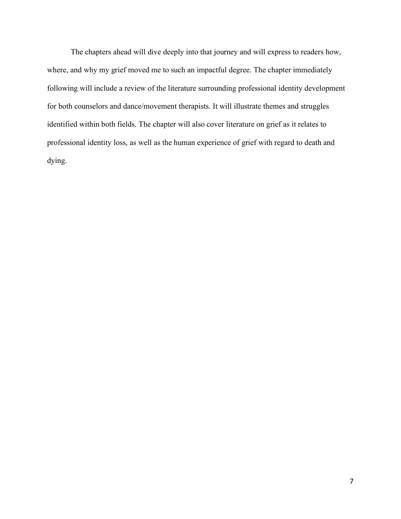The chapters ahead will dive deeply into that journey and will express to readers how, where, and why my grief moved me to such an impactful degree. The chapter immediately following will include a review of the literature surrounding professional identity development for both counselors and dance/movement therapists. It will illustrate themes and struggles identified within both fields. The chapter will also cover literature on grief as it relates to professional identity loss, as well as the human experience of grief with regard to death and dying.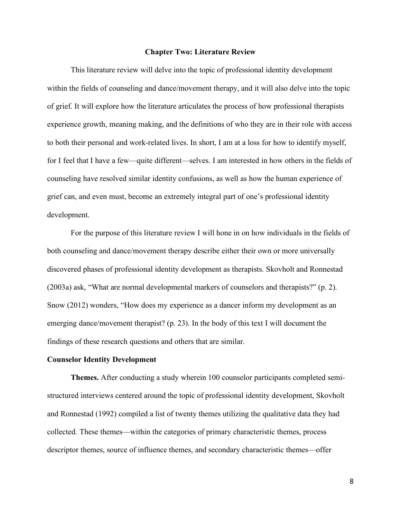#### **Chapter Two: Literature Review**

This literature review will delve into the topic of professional identity development within the fields of counseling and dance/movement therapy, and it will also delve into the topic of grief. It will explore how the literature articulates the process of how professional therapists experience growth, meaning making, and the definitions of who they are in their role with access to both their personal and work-related lives. In short, I am at a loss for how to identify myself, for I feel that I have a few—quite different—selves. I am interested in how others in the fields of counseling have resolved similar identity confusions, as well as how the human experience of grief can, and even must, become an extremely integral part of one's professional identity development.

For the purpose of this literature review I will hone in on how individuals in the fields of both counseling and dance/movement therapy describe either their own or more universally discovered phases of professional identity development as therapists. Skovholt and Ronnestad (2003a) ask, "What are normal developmental markers of counselors and therapists?" (p. 2). Snow (2012) wonders, "How does my experience as a dancer inform my development as an emerging dance/movement therapist? (p. 23). In the body of this text I will document the findings of these research questions and others that are similar.

## **Counselor Identity Development**

**Themes.** After conducting a study wherein 100 counselor participants completed semistructured interviews centered around the topic of professional identity development, Skovholt and Ronnestad (1992) compiled a list of twenty themes utilizing the qualitative data they had collected. These themes—within the categories of primary characteristic themes, process descriptor themes, source of influence themes, and secondary characteristic themes—offer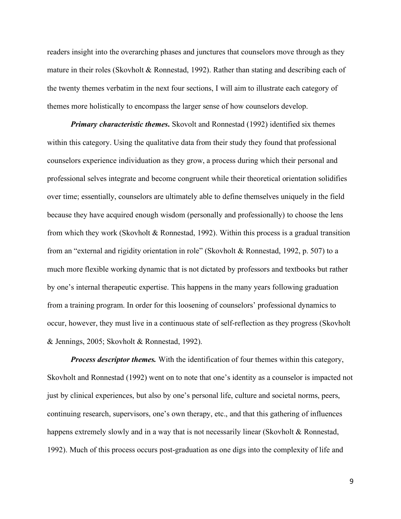readers insight into the overarching phases and junctures that counselors move through as they mature in their roles (Skovholt & Ronnestad, 1992). Rather than stating and describing each of the twenty themes verbatim in the next four sections, I will aim to illustrate each category of themes more holistically to encompass the larger sense of how counselors develop.

*Primary characteristic themes***.** Skovolt and Ronnestad (1992) identified six themes within this category. Using the qualitative data from their study they found that professional counselors experience individuation as they grow, a process during which their personal and professional selves integrate and become congruent while their theoretical orientation solidifies over time; essentially, counselors are ultimately able to define themselves uniquely in the field because they have acquired enough wisdom (personally and professionally) to choose the lens from which they work (Skovholt  $&$  Ronnestad, 1992). Within this process is a gradual transition from an "external and rigidity orientation in role" (Skovholt & Ronnestad, 1992, p. 507) to a much more flexible working dynamic that is not dictated by professors and textbooks but rather by one's internal therapeutic expertise. This happens in the many years following graduation from a training program. In order for this loosening of counselors' professional dynamics to occur, however, they must live in a continuous state of self-reflection as they progress (Skovholt & Jennings, 2005; Skovholt & Ronnestad, 1992).

*Process descriptor themes.* With the identification of four themes within this category, Skovholt and Ronnestad (1992) went on to note that one's identity as a counselor is impacted not just by clinical experiences, but also by one's personal life, culture and societal norms, peers, continuing research, supervisors, one's own therapy, etc., and that this gathering of influences happens extremely slowly and in a way that is not necessarily linear (Skovholt & Ronnestad, 1992). Much of this process occurs post-graduation as one digs into the complexity of life and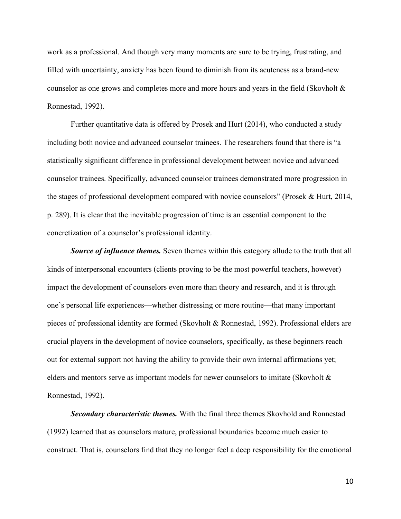work as a professional. And though very many moments are sure to be trying, frustrating, and filled with uncertainty, anxiety has been found to diminish from its acuteness as a brand-new counselor as one grows and completes more and more hours and years in the field (Skovholt & Ronnestad, 1992).

Further quantitative data is offered by Prosek and Hurt (2014), who conducted a study including both novice and advanced counselor trainees. The researchers found that there is "a statistically significant difference in professional development between novice and advanced counselor trainees. Specifically, advanced counselor trainees demonstrated more progression in the stages of professional development compared with novice counselors" (Prosek & Hurt, 2014, p. 289). It is clear that the inevitable progression of time is an essential component to the concretization of a counselor's professional identity.

*Source of influence themes.* Seven themes within this category allude to the truth that all kinds of interpersonal encounters (clients proving to be the most powerful teachers, however) impact the development of counselors even more than theory and research, and it is through one's personal life experiences—whether distressing or more routine—that many important pieces of professional identity are formed (Skovholt & Ronnestad, 1992). Professional elders are crucial players in the development of novice counselors, specifically, as these beginners reach out for external support not having the ability to provide their own internal affirmations yet; elders and mentors serve as important models for newer counselors to imitate (Skovholt & Ronnestad, 1992).

*Secondary characteristic themes.* With the final three themes Skovhold and Ronnestad (1992) learned that as counselors mature, professional boundaries become much easier to construct. That is, counselors find that they no longer feel a deep responsibility for the emotional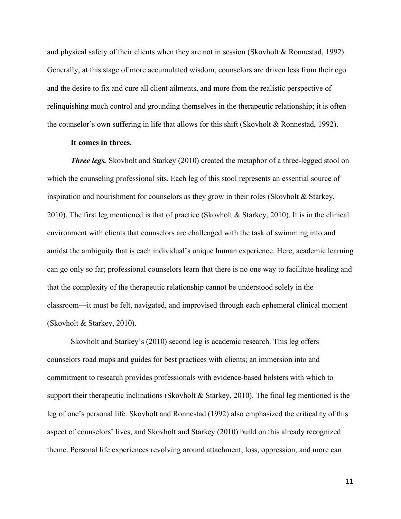and physical safety of their clients when they are not in session (Skovholt & Ronnestad, 1992). Generally, at this stage of more accumulated wisdom, counselors are driven less from their ego and the desire to fix and cure all client ailments, and more from the realistic perspective of relinquishing much control and grounding themselves in the therapeutic relationship; it is often the counselor's own suffering in life that allows for this shift (Skovholt & Ronnestad, 1992).

## **It comes in threes.**

*Three legs.* Skovholt and Starkey (2010) created the metaphor of a three-legged stool on which the counseling professional sits. Each leg of this stool represents an essential source of inspiration and nourishment for counselors as they grow in their roles (Skovholt & Starkey, 2010). The first leg mentioned is that of practice (Skovholt & Starkey, 2010). It is in the clinical environment with clients that counselors are challenged with the task of swimming into and amidst the ambiguity that is each individual's unique human experience. Here, academic learning can go only so far; professional counselors learn that there is no one way to facilitate healing and that the complexity of the therapeutic relationship cannot be understood solely in the classroom—it must be felt, navigated, and improvised through each ephemeral clinical moment (Skovholt & Starkey, 2010).

Skovholt and Starkey's (2010) second leg is academic research. This leg offers counselors road maps and guides for best practices with clients; an immersion into and commitment to research provides professionals with evidence-based bolsters with which to support their therapeutic inclinations (Skovholt & Starkey, 2010). The final leg mentioned is the leg of one's personal life. Skovholt and Ronnestad (1992) also emphasized the criticality of this aspect of counselors' lives, and Skovholt and Starkey (2010) build on this already recognized theme. Personal life experiences revolving around attachment, loss, oppression, and more can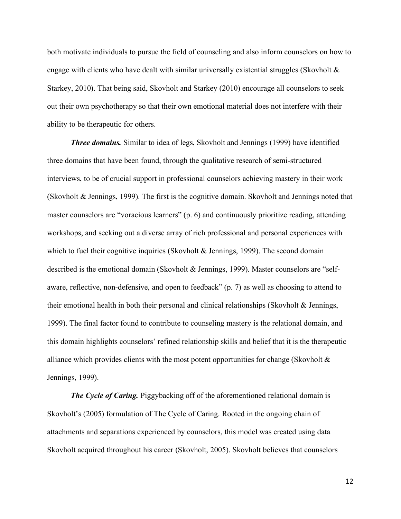both motivate individuals to pursue the field of counseling and also inform counselors on how to engage with clients who have dealt with similar universally existential struggles (Skovholt  $\&$ Starkey, 2010). That being said, Skovholt and Starkey (2010) encourage all counselors to seek out their own psychotherapy so that their own emotional material does not interfere with their ability to be therapeutic for others.

*Three domains.* Similar to idea of legs, Skovholt and Jennings (1999) have identified three domains that have been found, through the qualitative research of semi-structured interviews, to be of crucial support in professional counselors achieving mastery in their work (Skovholt & Jennings, 1999). The first is the cognitive domain. Skovholt and Jennings noted that master counselors are "voracious learners" (p. 6) and continuously prioritize reading, attending workshops, and seeking out a diverse array of rich professional and personal experiences with which to fuel their cognitive inquiries (Skovholt & Jennings, 1999). The second domain described is the emotional domain (Skovholt & Jennings, 1999). Master counselors are "selfaware, reflective, non-defensive, and open to feedback" (p. 7) as well as choosing to attend to their emotional health in both their personal and clinical relationships (Skovholt & Jennings, 1999). The final factor found to contribute to counseling mastery is the relational domain, and this domain highlights counselors' refined relationship skills and belief that it is the therapeutic alliance which provides clients with the most potent opportunities for change (Skovholt  $\&$ Jennings, 1999).

*The Cycle of Caring.* Piggybacking off of the aforementioned relational domain is Skovholt's (2005) formulation of The Cycle of Caring. Rooted in the ongoing chain of attachments and separations experienced by counselors, this model was created using data Skovholt acquired throughout his career (Skovholt, 2005). Skovholt believes that counselors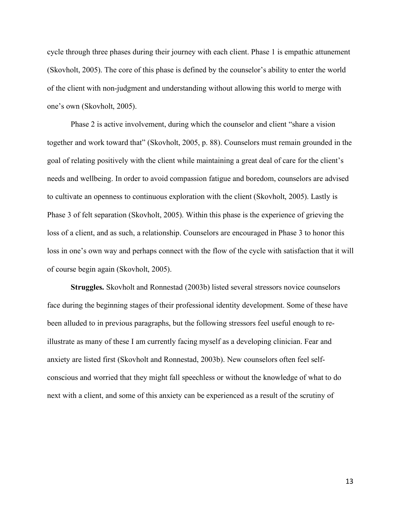cycle through three phases during their journey with each client. Phase 1 is empathic attunement (Skovholt, 2005). The core of this phase is defined by the counselor's ability to enter the world of the client with non-judgment and understanding without allowing this world to merge with one's own (Skovholt, 2005).

Phase 2 is active involvement, during which the counselor and client "share a vision together and work toward that" (Skovholt, 2005, p. 88). Counselors must remain grounded in the goal of relating positively with the client while maintaining a great deal of care for the client's needs and wellbeing. In order to avoid compassion fatigue and boredom, counselors are advised to cultivate an openness to continuous exploration with the client (Skovholt, 2005). Lastly is Phase 3 of felt separation (Skovholt, 2005). Within this phase is the experience of grieving the loss of a client, and as such, a relationship. Counselors are encouraged in Phase 3 to honor this loss in one's own way and perhaps connect with the flow of the cycle with satisfaction that it will of course begin again (Skovholt, 2005).

**Struggles.** Skovholt and Ronnestad (2003b) listed several stressors novice counselors face during the beginning stages of their professional identity development. Some of these have been alluded to in previous paragraphs, but the following stressors feel useful enough to reillustrate as many of these I am currently facing myself as a developing clinician. Fear and anxiety are listed first (Skovholt and Ronnestad, 2003b). New counselors often feel selfconscious and worried that they might fall speechless or without the knowledge of what to do next with a client, and some of this anxiety can be experienced as a result of the scrutiny of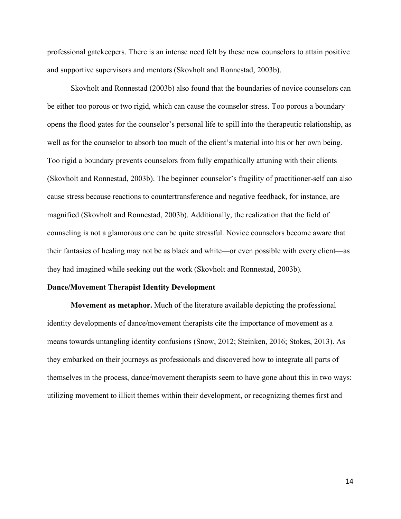professional gatekeepers. There is an intense need felt by these new counselors to attain positive and supportive supervisors and mentors (Skovholt and Ronnestad, 2003b).

Skovholt and Ronnestad (2003b) also found that the boundaries of novice counselors can be either too porous or two rigid, which can cause the counselor stress. Too porous a boundary opens the flood gates for the counselor's personal life to spill into the therapeutic relationship, as well as for the counselor to absorb too much of the client's material into his or her own being. Too rigid a boundary prevents counselors from fully empathically attuning with their clients (Skovholt and Ronnestad, 2003b). The beginner counselor's fragility of practitioner-self can also cause stress because reactions to countertransference and negative feedback, for instance, are magnified (Skovholt and Ronnestad, 2003b). Additionally, the realization that the field of counseling is not a glamorous one can be quite stressful. Novice counselors become aware that their fantasies of healing may not be as black and white—or even possible with every client—as they had imagined while seeking out the work (Skovholt and Ronnestad, 2003b).

#### **Dance/Movement Therapist Identity Development**

**Movement as metaphor.** Much of the literature available depicting the professional identity developments of dance/movement therapists cite the importance of movement as a means towards untangling identity confusions (Snow, 2012; Steinken, 2016; Stokes, 2013). As they embarked on their journeys as professionals and discovered how to integrate all parts of themselves in the process, dance/movement therapists seem to have gone about this in two ways: utilizing movement to illicit themes within their development, or recognizing themes first and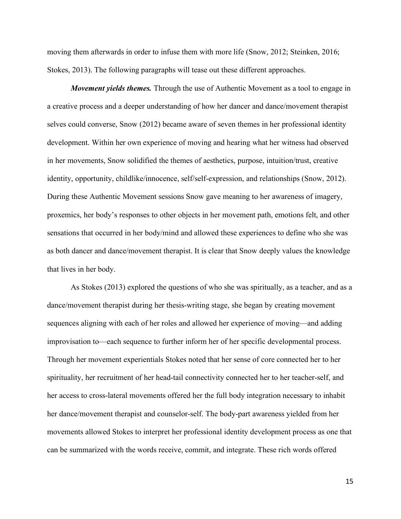moving them afterwards in order to infuse them with more life (Snow, 2012; Steinken, 2016; Stokes, 2013). The following paragraphs will tease out these different approaches.

*Movement yields themes.* Through the use of Authentic Movement as a tool to engage in a creative process and a deeper understanding of how her dancer and dance/movement therapist selves could converse, Snow (2012) became aware of seven themes in her professional identity development. Within her own experience of moving and hearing what her witness had observed in her movements, Snow solidified the themes of aesthetics, purpose, intuition/trust, creative identity, opportunity, childlike/innocence, self/self-expression, and relationships (Snow, 2012). During these Authentic Movement sessions Snow gave meaning to her awareness of imagery, proxemics, her body's responses to other objects in her movement path, emotions felt, and other sensations that occurred in her body/mind and allowed these experiences to define who she was as both dancer and dance/movement therapist. It is clear that Snow deeply values the knowledge that lives in her body.

As Stokes (2013) explored the questions of who she was spiritually, as a teacher, and as a dance/movement therapist during her thesis-writing stage, she began by creating movement sequences aligning with each of her roles and allowed her experience of moving—and adding improvisation to—each sequence to further inform her of her specific developmental process. Through her movement experientials Stokes noted that her sense of core connected her to her spirituality, her recruitment of her head-tail connectivity connected her to her teacher-self, and her access to cross-lateral movements offered her the full body integration necessary to inhabit her dance/movement therapist and counselor-self. The body-part awareness yielded from her movements allowed Stokes to interpret her professional identity development process as one that can be summarized with the words receive, commit, and integrate. These rich words offered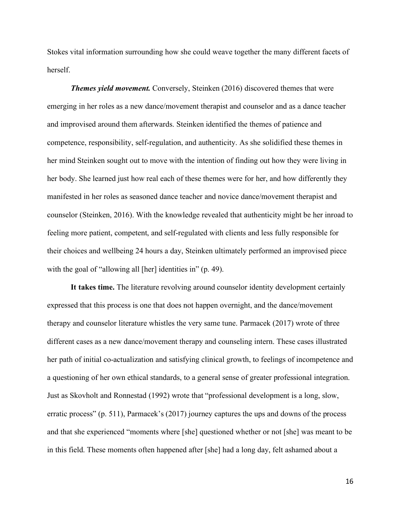Stokes vital information surrounding how she could weave together the many different facets of herself.

*Themes yield movement.* Conversely, Steinken (2016) discovered themes that were emerging in her roles as a new dance/movement therapist and counselor and as a dance teacher and improvised around them afterwards. Steinken identified the themes of patience and competence, responsibility, self-regulation, and authenticity. As she solidified these themes in her mind Steinken sought out to move with the intention of finding out how they were living in her body. She learned just how real each of these themes were for her, and how differently they manifested in her roles as seasoned dance teacher and novice dance/movement therapist and counselor (Steinken, 2016). With the knowledge revealed that authenticity might be her inroad to feeling more patient, competent, and self-regulated with clients and less fully responsible for their choices and wellbeing 24 hours a day, Steinken ultimately performed an improvised piece with the goal of "allowing all [her] identities in" (p. 49).

**It takes time.** The literature revolving around counselor identity development certainly expressed that this process is one that does not happen overnight, and the dance/movement therapy and counselor literature whistles the very same tune. Parmacek (2017) wrote of three different cases as a new dance/movement therapy and counseling intern. These cases illustrated her path of initial co-actualization and satisfying clinical growth, to feelings of incompetence and a questioning of her own ethical standards, to a general sense of greater professional integration. Just as Skovholt and Ronnestad (1992) wrote that "professional development is a long, slow, erratic process" (p. 511), Parmacek's (2017) journey captures the ups and downs of the process and that she experienced "moments where [she] questioned whether or not [she] was meant to be in this field. These moments often happened after [she] had a long day, felt ashamed about a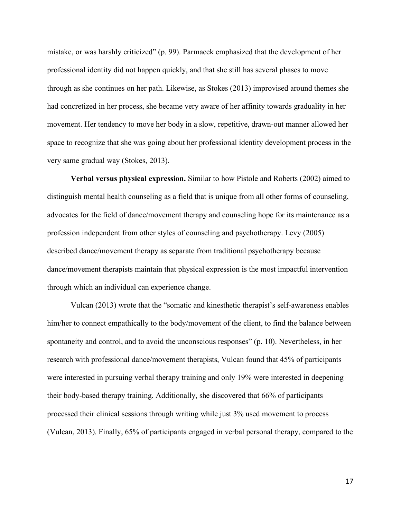mistake, or was harshly criticized" (p. 99). Parmacek emphasized that the development of her professional identity did not happen quickly, and that she still has several phases to move through as she continues on her path. Likewise, as Stokes (2013) improvised around themes she had concretized in her process, she became very aware of her affinity towards graduality in her movement. Her tendency to move her body in a slow, repetitive, drawn-out manner allowed her space to recognize that she was going about her professional identity development process in the very same gradual way (Stokes, 2013).

**Verbal versus physical expression.** Similar to how Pistole and Roberts (2002) aimed to distinguish mental health counseling as a field that is unique from all other forms of counseling, advocates for the field of dance/movement therapy and counseling hope for its maintenance as a profession independent from other styles of counseling and psychotherapy. Levy (2005) described dance/movement therapy as separate from traditional psychotherapy because dance/movement therapists maintain that physical expression is the most impactful intervention through which an individual can experience change.

Vulcan (2013) wrote that the "somatic and kinesthetic therapist's self-awareness enables him/her to connect empathically to the body/movement of the client, to find the balance between spontaneity and control, and to avoid the unconscious responses" (p. 10). Nevertheless, in her research with professional dance/movement therapists, Vulcan found that 45% of participants were interested in pursuing verbal therapy training and only 19% were interested in deepening their body-based therapy training. Additionally, she discovered that 66% of participants processed their clinical sessions through writing while just 3% used movement to process (Vulcan, 2013). Finally, 65% of participants engaged in verbal personal therapy, compared to the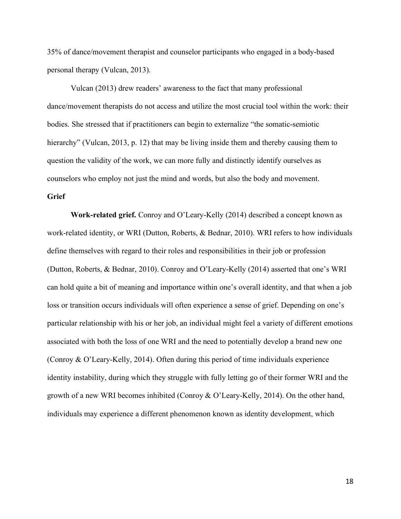35% of dance/movement therapist and counselor participants who engaged in a body-based personal therapy (Vulcan, 2013).

Vulcan (2013) drew readers' awareness to the fact that many professional dance/movement therapists do not access and utilize the most crucial tool within the work: their bodies. She stressed that if practitioners can begin to externalize "the somatic-semiotic hierarchy" (Vulcan, 2013, p. 12) that may be living inside them and thereby causing them to question the validity of the work, we can more fully and distinctly identify ourselves as counselors who employ not just the mind and words, but also the body and movement.

## **Grief**

**Work-related grief.** Conroy and O'Leary-Kelly (2014) described a concept known as work-related identity, or WRI (Dutton, Roberts, & Bednar, 2010). WRI refers to how individuals define themselves with regard to their roles and responsibilities in their job or profession (Dutton, Roberts, & Bednar, 2010). Conroy and O'Leary-Kelly (2014) asserted that one's WRI can hold quite a bit of meaning and importance within one's overall identity, and that when a job loss or transition occurs individuals will often experience a sense of grief. Depending on one's particular relationship with his or her job, an individual might feel a variety of different emotions associated with both the loss of one WRI and the need to potentially develop a brand new one (Conroy & O'Leary-Kelly, 2014). Often during this period of time individuals experience identity instability, during which they struggle with fully letting go of their former WRI and the growth of a new WRI becomes inhibited (Conroy & O'Leary-Kelly, 2014). On the other hand, individuals may experience a different phenomenon known as identity development, which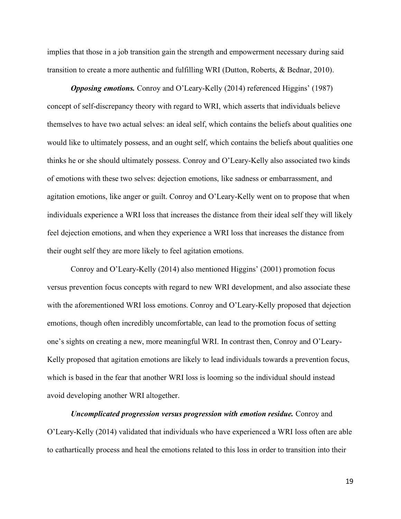implies that those in a job transition gain the strength and empowerment necessary during said transition to create a more authentic and fulfilling WRI (Dutton, Roberts, & Bednar, 2010).

*Opposing emotions.* Conroy and O'Leary-Kelly (2014) referenced Higgins' (1987) concept of self-discrepancy theory with regard to WRI, which asserts that individuals believe themselves to have two actual selves: an ideal self, which contains the beliefs about qualities one would like to ultimately possess, and an ought self, which contains the beliefs about qualities one thinks he or she should ultimately possess. Conroy and O'Leary-Kelly also associated two kinds of emotions with these two selves: dejection emotions, like sadness or embarrassment, and agitation emotions, like anger or guilt. Conroy and O'Leary-Kelly went on to propose that when individuals experience a WRI loss that increases the distance from their ideal self they will likely feel dejection emotions, and when they experience a WRI loss that increases the distance from their ought self they are more likely to feel agitation emotions.

Conroy and O'Leary-Kelly (2014) also mentioned Higgins' (2001) promotion focus versus prevention focus concepts with regard to new WRI development, and also associate these with the aforementioned WRI loss emotions. Conroy and O'Leary-Kelly proposed that dejection emotions, though often incredibly uncomfortable, can lead to the promotion focus of setting one's sights on creating a new, more meaningful WRI. In contrast then, Conroy and O'Leary-Kelly proposed that agitation emotions are likely to lead individuals towards a prevention focus, which is based in the fear that another WRI loss is looming so the individual should instead avoid developing another WRI altogether.

*Uncomplicated progression versus progression with emotion residue.* Conroy and O'Leary-Kelly (2014) validated that individuals who have experienced a WRI loss often are able to cathartically process and heal the emotions related to this loss in order to transition into their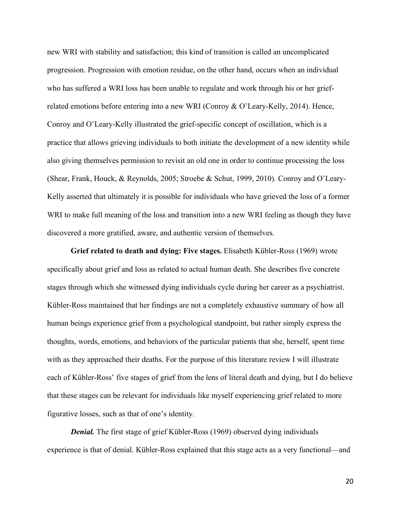new WRI with stability and satisfaction; this kind of transition is called an uncomplicated progression. Progression with emotion residue, on the other hand, occurs when an individual who has suffered a WRI loss has been unable to regulate and work through his or her griefrelated emotions before entering into a new WRI (Conroy & O'Leary-Kelly, 2014). Hence, Conroy and O'Leary-Kelly illustrated the grief-specific concept of oscillation, which is a practice that allows grieving individuals to both initiate the development of a new identity while also giving themselves permission to revisit an old one in order to continue processing the loss (Shear, Frank, Houck, & Reynolds, 2005; Stroebe & Schut, 1999, 2010). Conroy and O'Leary-Kelly asserted that ultimately it is possible for individuals who have grieved the loss of a former WRI to make full meaning of the loss and transition into a new WRI feeling as though they have discovered a more gratified, aware, and authentic version of themselves.

**Grief related to death and dying: Five stages.** Elisabeth Kübler-Ross (1969) wrote specifically about grief and loss as related to actual human death. She describes five concrete stages through which she witnessed dying individuals cycle during her career as a psychiatrist. Kübler-Ross maintained that her findings are not a completely exhaustive summary of how all human beings experience grief from a psychological standpoint, but rather simply express the thoughts, words, emotions, and behaviors of the particular patients that she, herself, spent time with as they approached their deaths. For the purpose of this literature review I will illustrate each of Kübler-Ross' five stages of grief from the lens of literal death and dying, but I do believe that these stages can be relevant for individuals like myself experiencing grief related to more figurative losses, such as that of one's identity.

*Denial.* The first stage of grief Kübler-Ross (1969) observed dying individuals experience is that of denial. Kübler-Ross explained that this stage acts as a very functional—and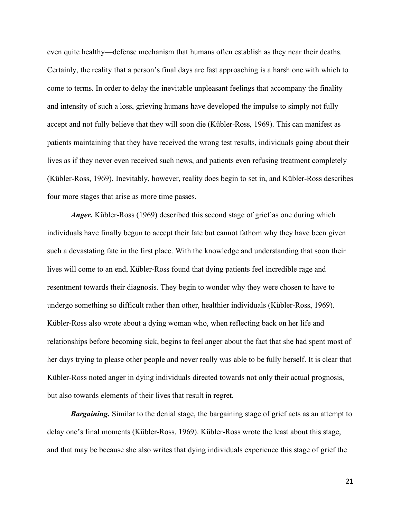even quite healthy—defense mechanism that humans often establish as they near their deaths. Certainly, the reality that a person's final days are fast approaching is a harsh one with which to come to terms. In order to delay the inevitable unpleasant feelings that accompany the finality and intensity of such a loss, grieving humans have developed the impulse to simply not fully accept and not fully believe that they will soon die (Kübler-Ross, 1969). This can manifest as patients maintaining that they have received the wrong test results, individuals going about their lives as if they never even received such news, and patients even refusing treatment completely (Kübler-Ross, 1969). Inevitably, however, reality does begin to set in, and Kübler-Ross describes four more stages that arise as more time passes.

*Anger.* Kübler-Ross (1969) described this second stage of grief as one during which individuals have finally begun to accept their fate but cannot fathom why they have been given such a devastating fate in the first place. With the knowledge and understanding that soon their lives will come to an end, Kübler-Ross found that dying patients feel incredible rage and resentment towards their diagnosis. They begin to wonder why they were chosen to have to undergo something so difficult rather than other, healthier individuals (Kübler-Ross, 1969). Kübler-Ross also wrote about a dying woman who, when reflecting back on her life and relationships before becoming sick, begins to feel anger about the fact that she had spent most of her days trying to please other people and never really was able to be fully herself. It is clear that Kübler-Ross noted anger in dying individuals directed towards not only their actual prognosis, but also towards elements of their lives that result in regret.

**Bargaining.** Similar to the denial stage, the bargaining stage of grief acts as an attempt to delay one's final moments (Kübler-Ross, 1969). Kübler-Ross wrote the least about this stage, and that may be because she also writes that dying individuals experience this stage of grief the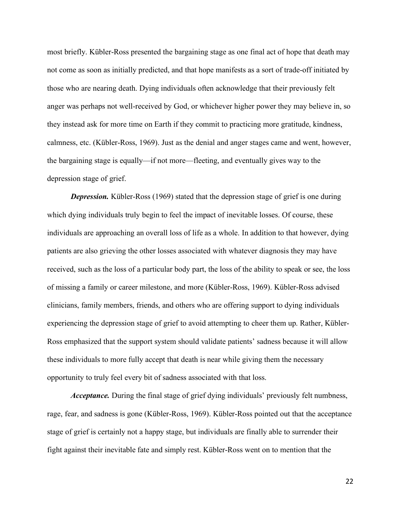most briefly. Kübler-Ross presented the bargaining stage as one final act of hope that death may not come as soon as initially predicted, and that hope manifests as a sort of trade-off initiated by those who are nearing death. Dying individuals often acknowledge that their previously felt anger was perhaps not well-received by God, or whichever higher power they may believe in, so they instead ask for more time on Earth if they commit to practicing more gratitude, kindness, calmness, etc. (Kübler-Ross, 1969). Just as the denial and anger stages came and went, however, the bargaining stage is equally—if not more—fleeting, and eventually gives way to the depression stage of grief.

*Depression.* Kübler-Ross (1969) stated that the depression stage of grief is one during which dying individuals truly begin to feel the impact of inevitable losses. Of course, these individuals are approaching an overall loss of life as a whole. In addition to that however, dying patients are also grieving the other losses associated with whatever diagnosis they may have received, such as the loss of a particular body part, the loss of the ability to speak or see, the loss of missing a family or career milestone, and more (Kübler-Ross, 1969). Kübler-Ross advised clinicians, family members, friends, and others who are offering support to dying individuals experiencing the depression stage of grief to avoid attempting to cheer them up. Rather, Kübler-Ross emphasized that the support system should validate patients' sadness because it will allow these individuals to more fully accept that death is near while giving them the necessary opportunity to truly feel every bit of sadness associated with that loss.

*Acceptance.* During the final stage of grief dying individuals' previously felt numbness, rage, fear, and sadness is gone (Kübler-Ross, 1969). Kübler-Ross pointed out that the acceptance stage of grief is certainly not a happy stage, but individuals are finally able to surrender their fight against their inevitable fate and simply rest. Kübler-Ross went on to mention that the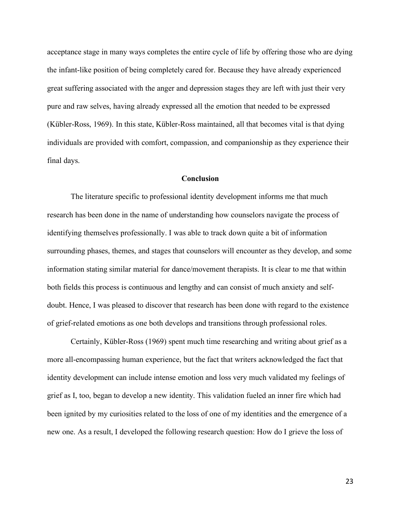acceptance stage in many ways completes the entire cycle of life by offering those who are dying the infant-like position of being completely cared for. Because they have already experienced great suffering associated with the anger and depression stages they are left with just their very pure and raw selves, having already expressed all the emotion that needed to be expressed (Kübler-Ross, 1969). In this state, Kübler-Ross maintained, all that becomes vital is that dying individuals are provided with comfort, compassion, and companionship as they experience their final days.

## **Conclusion**

The literature specific to professional identity development informs me that much research has been done in the name of understanding how counselors navigate the process of identifying themselves professionally. I was able to track down quite a bit of information surrounding phases, themes, and stages that counselors will encounter as they develop, and some information stating similar material for dance/movement therapists. It is clear to me that within both fields this process is continuous and lengthy and can consist of much anxiety and selfdoubt. Hence, I was pleased to discover that research has been done with regard to the existence of grief-related emotions as one both develops and transitions through professional roles.

Certainly, Kübler-Ross (1969) spent much time researching and writing about grief as a more all-encompassing human experience, but the fact that writers acknowledged the fact that identity development can include intense emotion and loss very much validated my feelings of grief as I, too, began to develop a new identity. This validation fueled an inner fire which had been ignited by my curiosities related to the loss of one of my identities and the emergence of a new one. As a result, I developed the following research question: How do I grieve the loss of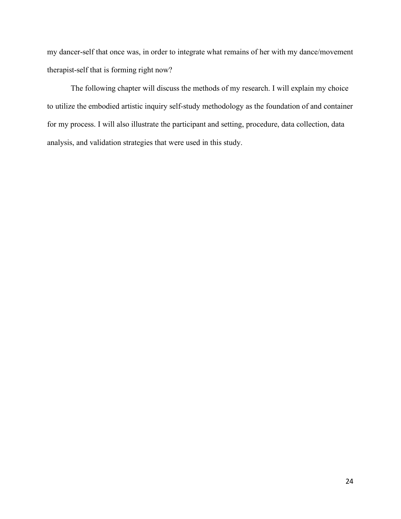my dancer-self that once was, in order to integrate what remains of her with my dance/movement therapist-self that is forming right now?

The following chapter will discuss the methods of my research. I will explain my choice to utilize the embodied artistic inquiry self-study methodology as the foundation of and container for my process. I will also illustrate the participant and setting, procedure, data collection, data analysis, and validation strategies that were used in this study.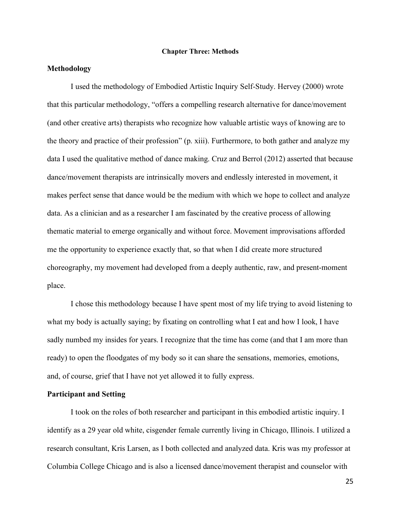#### **Chapter Three: Methods**

## **Methodology**

I used the methodology of Embodied Artistic Inquiry Self-Study. Hervey (2000) wrote that this particular methodology, "offers a compelling research alternative for dance/movement (and other creative arts) therapists who recognize how valuable artistic ways of knowing are to the theory and practice of their profession" (p. xiii). Furthermore, to both gather and analyze my data I used the qualitative method of dance making. Cruz and Berrol (2012) asserted that because dance/movement therapists are intrinsically movers and endlessly interested in movement, it makes perfect sense that dance would be the medium with which we hope to collect and analyze data. As a clinician and as a researcher I am fascinated by the creative process of allowing thematic material to emerge organically and without force. Movement improvisations afforded me the opportunity to experience exactly that, so that when I did create more structured choreography, my movement had developed from a deeply authentic, raw, and present-moment place.

I chose this methodology because I have spent most of my life trying to avoid listening to what my body is actually saying; by fixating on controlling what I eat and how I look, I have sadly numbed my insides for years. I recognize that the time has come (and that I am more than ready) to open the floodgates of my body so it can share the sensations, memories, emotions, and, of course, grief that I have not yet allowed it to fully express.

## **Participant and Setting**

I took on the roles of both researcher and participant in this embodied artistic inquiry. I identify as a 29 year old white, cisgender female currently living in Chicago, Illinois. I utilized a research consultant, Kris Larsen, as I both collected and analyzed data. Kris was my professor at Columbia College Chicago and is also a licensed dance/movement therapist and counselor with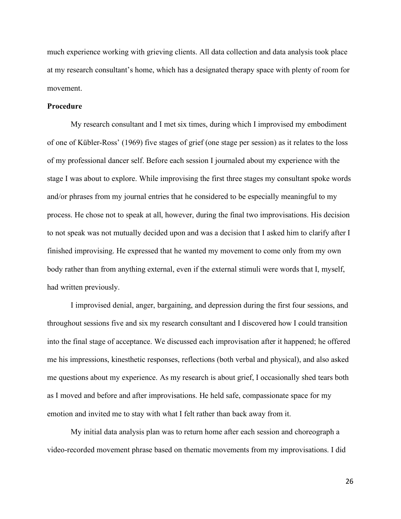much experience working with grieving clients. All data collection and data analysis took place at my research consultant's home, which has a designated therapy space with plenty of room for movement.

## **Procedure**

My research consultant and I met six times, during which I improvised my embodiment of one of Kübler-Ross' (1969) five stages of grief (one stage per session) as it relates to the loss of my professional dancer self. Before each session I journaled about my experience with the stage I was about to explore. While improvising the first three stages my consultant spoke words and/or phrases from my journal entries that he considered to be especially meaningful to my process. He chose not to speak at all, however, during the final two improvisations. His decision to not speak was not mutually decided upon and was a decision that I asked him to clarify after I finished improvising. He expressed that he wanted my movement to come only from my own body rather than from anything external, even if the external stimuli were words that I, myself, had written previously.

I improvised denial, anger, bargaining, and depression during the first four sessions, and throughout sessions five and six my research consultant and I discovered how I could transition into the final stage of acceptance. We discussed each improvisation after it happened; he offered me his impressions, kinesthetic responses, reflections (both verbal and physical), and also asked me questions about my experience. As my research is about grief, I occasionally shed tears both as I moved and before and after improvisations. He held safe, compassionate space for my emotion and invited me to stay with what I felt rather than back away from it.

My initial data analysis plan was to return home after each session and choreograph a video-recorded movement phrase based on thematic movements from my improvisations. I did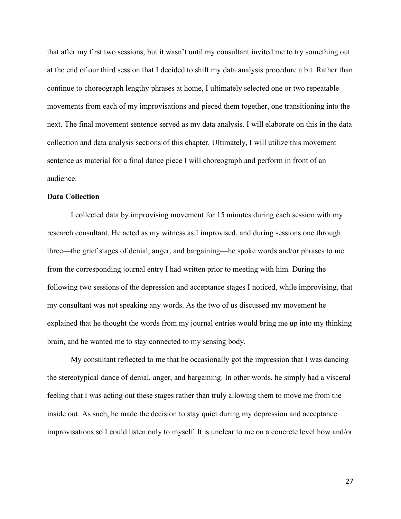that after my first two sessions, but it wasn't until my consultant invited me to try something out at the end of our third session that I decided to shift my data analysis procedure a bit. Rather than continue to choreograph lengthy phrases at home, I ultimately selected one or two repeatable movements from each of my improvisations and pieced them together, one transitioning into the next. The final movement sentence served as my data analysis. I will elaborate on this in the data collection and data analysis sections of this chapter. Ultimately, I will utilize this movement sentence as material for a final dance piece I will choreograph and perform in front of an audience.

## **Data Collection**

I collected data by improvising movement for 15 minutes during each session with my research consultant. He acted as my witness as I improvised, and during sessions one through three—the grief stages of denial, anger, and bargaining—he spoke words and/or phrases to me from the corresponding journal entry I had written prior to meeting with him. During the following two sessions of the depression and acceptance stages I noticed, while improvising, that my consultant was not speaking any words. As the two of us discussed my movement he explained that he thought the words from my journal entries would bring me up into my thinking brain, and he wanted me to stay connected to my sensing body.

My consultant reflected to me that he occasionally got the impression that I was dancing the stereotypical dance of denial, anger, and bargaining. In other words, he simply had a visceral feeling that I was acting out these stages rather than truly allowing them to move me from the inside out. As such, he made the decision to stay quiet during my depression and acceptance improvisations so I could listen only to myself. It is unclear to me on a concrete level how and/or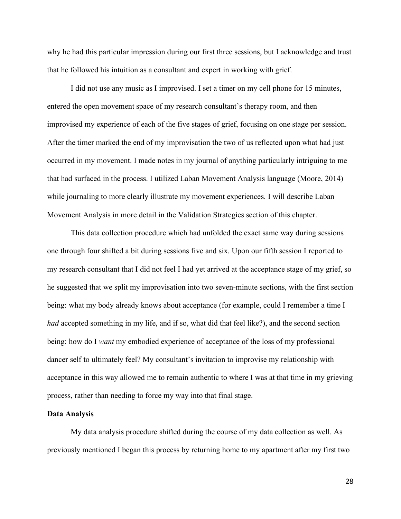why he had this particular impression during our first three sessions, but I acknowledge and trust that he followed his intuition as a consultant and expert in working with grief.

I did not use any music as I improvised. I set a timer on my cell phone for 15 minutes, entered the open movement space of my research consultant's therapy room, and then improvised my experience of each of the five stages of grief, focusing on one stage per session. After the timer marked the end of my improvisation the two of us reflected upon what had just occurred in my movement. I made notes in my journal of anything particularly intriguing to me that had surfaced in the process. I utilized Laban Movement Analysis language (Moore, 2014) while journaling to more clearly illustrate my movement experiences. I will describe Laban Movement Analysis in more detail in the Validation Strategies section of this chapter.

This data collection procedure which had unfolded the exact same way during sessions one through four shifted a bit during sessions five and six. Upon our fifth session I reported to my research consultant that I did not feel I had yet arrived at the acceptance stage of my grief, so he suggested that we split my improvisation into two seven-minute sections, with the first section being: what my body already knows about acceptance (for example, could I remember a time I *had* accepted something in my life, and if so, what did that feel like?), and the second section being: how do I *want* my embodied experience of acceptance of the loss of my professional dancer self to ultimately feel? My consultant's invitation to improvise my relationship with acceptance in this way allowed me to remain authentic to where I was at that time in my grieving process, rather than needing to force my way into that final stage.

#### **Data Analysis**

My data analysis procedure shifted during the course of my data collection as well. As previously mentioned I began this process by returning home to my apartment after my first two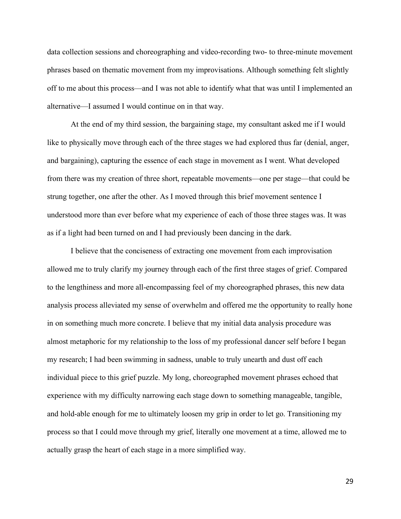data collection sessions and choreographing and video-recording two- to three-minute movement phrases based on thematic movement from my improvisations. Although something felt slightly off to me about this process—and I was not able to identify what that was until I implemented an alternative—I assumed I would continue on in that way.

At the end of my third session, the bargaining stage, my consultant asked me if I would like to physically move through each of the three stages we had explored thus far (denial, anger, and bargaining), capturing the essence of each stage in movement as I went. What developed from there was my creation of three short, repeatable movements—one per stage—that could be strung together, one after the other. As I moved through this brief movement sentence I understood more than ever before what my experience of each of those three stages was. It was as if a light had been turned on and I had previously been dancing in the dark.

I believe that the conciseness of extracting one movement from each improvisation allowed me to truly clarify my journey through each of the first three stages of grief. Compared to the lengthiness and more all-encompassing feel of my choreographed phrases, this new data analysis process alleviated my sense of overwhelm and offered me the opportunity to really hone in on something much more concrete. I believe that my initial data analysis procedure was almost metaphoric for my relationship to the loss of my professional dancer self before I began my research; I had been swimming in sadness, unable to truly unearth and dust off each individual piece to this grief puzzle. My long, choreographed movement phrases echoed that experience with my difficulty narrowing each stage down to something manageable, tangible, and hold-able enough for me to ultimately loosen my grip in order to let go. Transitioning my process so that I could move through my grief, literally one movement at a time, allowed me to actually grasp the heart of each stage in a more simplified way.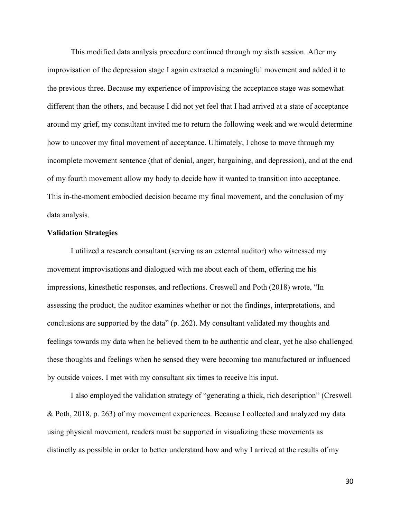This modified data analysis procedure continued through my sixth session. After my improvisation of the depression stage I again extracted a meaningful movement and added it to the previous three. Because my experience of improvising the acceptance stage was somewhat different than the others, and because I did not yet feel that I had arrived at a state of acceptance around my grief, my consultant invited me to return the following week and we would determine how to uncover my final movement of acceptance. Ultimately, I chose to move through my incomplete movement sentence (that of denial, anger, bargaining, and depression), and at the end of my fourth movement allow my body to decide how it wanted to transition into acceptance. This in-the-moment embodied decision became my final movement, and the conclusion of my data analysis.

### **Validation Strategies**

I utilized a research consultant (serving as an external auditor) who witnessed my movement improvisations and dialogued with me about each of them, offering me his impressions, kinesthetic responses, and reflections. Creswell and Poth (2018) wrote, "In assessing the product, the auditor examines whether or not the findings, interpretations, and conclusions are supported by the data" (p. 262). My consultant validated my thoughts and feelings towards my data when he believed them to be authentic and clear, yet he also challenged these thoughts and feelings when he sensed they were becoming too manufactured or influenced by outside voices. I met with my consultant six times to receive his input.

I also employed the validation strategy of "generating a thick, rich description" (Creswell & Poth, 2018, p. 263) of my movement experiences. Because I collected and analyzed my data using physical movement, readers must be supported in visualizing these movements as distinctly as possible in order to better understand how and why I arrived at the results of my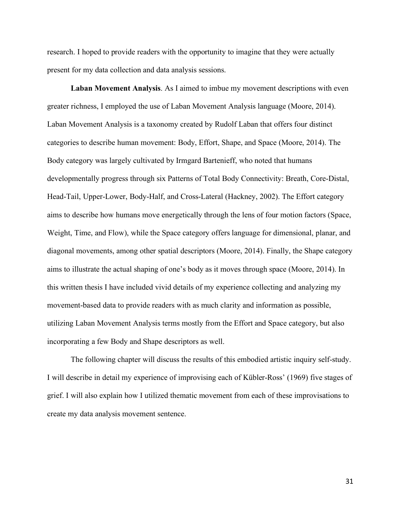research. I hoped to provide readers with the opportunity to imagine that they were actually present for my data collection and data analysis sessions.

**Laban Movement Analysis**. As I aimed to imbue my movement descriptions with even greater richness, I employed the use of Laban Movement Analysis language (Moore, 2014). Laban Movement Analysis is a taxonomy created by Rudolf Laban that offers four distinct categories to describe human movement: Body, Effort, Shape, and Space (Moore, 2014). The Body category was largely cultivated by Irmgard Bartenieff, who noted that humans developmentally progress through six Patterns of Total Body Connectivity: Breath, Core-Distal, Head-Tail, Upper-Lower, Body-Half, and Cross-Lateral (Hackney, 2002). The Effort category aims to describe how humans move energetically through the lens of four motion factors (Space, Weight, Time, and Flow), while the Space category offers language for dimensional, planar, and diagonal movements, among other spatial descriptors (Moore, 2014). Finally, the Shape category aims to illustrate the actual shaping of one's body as it moves through space (Moore, 2014). In this written thesis I have included vivid details of my experience collecting and analyzing my movement-based data to provide readers with as much clarity and information as possible, utilizing Laban Movement Analysis terms mostly from the Effort and Space category, but also incorporating a few Body and Shape descriptors as well.

The following chapter will discuss the results of this embodied artistic inquiry self-study. I will describe in detail my experience of improvising each of Kübler-Ross' (1969) five stages of grief. I will also explain how I utilized thematic movement from each of these improvisations to create my data analysis movement sentence.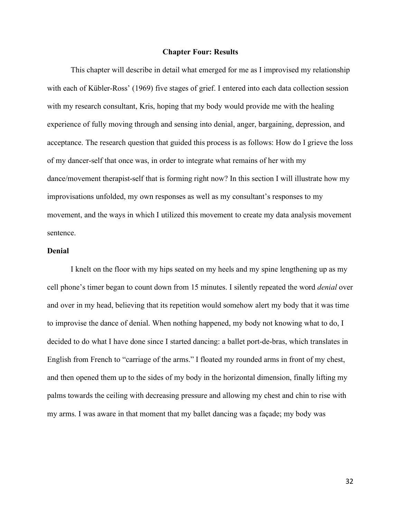### **Chapter Four: Results**

This chapter will describe in detail what emerged for me as I improvised my relationship with each of Kübler-Ross' (1969) five stages of grief. I entered into each data collection session with my research consultant, Kris, hoping that my body would provide me with the healing experience of fully moving through and sensing into denial, anger, bargaining, depression, and acceptance. The research question that guided this process is as follows: How do I grieve the loss of my dancer-self that once was, in order to integrate what remains of her with my dance/movement therapist-self that is forming right now? In this section I will illustrate how my improvisations unfolded, my own responses as well as my consultant's responses to my movement, and the ways in which I utilized this movement to create my data analysis movement sentence.

## **Denial**

I knelt on the floor with my hips seated on my heels and my spine lengthening up as my cell phone's timer began to count down from 15 minutes. I silently repeated the word *denial* over and over in my head, believing that its repetition would somehow alert my body that it was time to improvise the dance of denial. When nothing happened, my body not knowing what to do, I decided to do what I have done since I started dancing: a ballet port-de-bras, which translates in English from French to "carriage of the arms." I floated my rounded arms in front of my chest, and then opened them up to the sides of my body in the horizontal dimension, finally lifting my palms towards the ceiling with decreasing pressure and allowing my chest and chin to rise with my arms. I was aware in that moment that my ballet dancing was a façade; my body was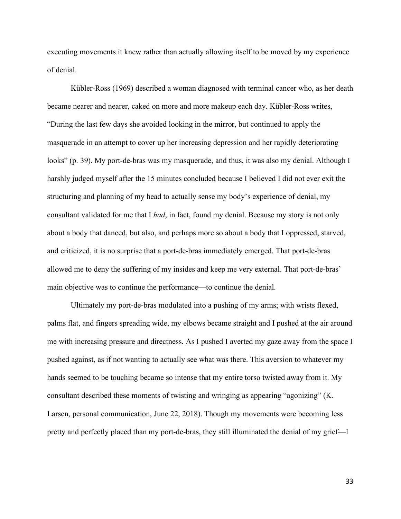executing movements it knew rather than actually allowing itself to be moved by my experience of denial.

Kübler-Ross (1969) described a woman diagnosed with terminal cancer who, as her death became nearer and nearer, caked on more and more makeup each day. Kübler-Ross writes, "During the last few days she avoided looking in the mirror, but continued to apply the masquerade in an attempt to cover up her increasing depression and her rapidly deteriorating looks" (p. 39). My port-de-bras was my masquerade, and thus, it was also my denial. Although I harshly judged myself after the 15 minutes concluded because I believed I did not ever exit the structuring and planning of my head to actually sense my body's experience of denial, my consultant validated for me that I *had*, in fact, found my denial. Because my story is not only about a body that danced, but also, and perhaps more so about a body that I oppressed, starved, and criticized, it is no surprise that a port-de-bras immediately emerged. That port-de-bras allowed me to deny the suffering of my insides and keep me very external. That port-de-bras' main objective was to continue the performance—to continue the denial.

Ultimately my port-de-bras modulated into a pushing of my arms; with wrists flexed, palms flat, and fingers spreading wide, my elbows became straight and I pushed at the air around me with increasing pressure and directness. As I pushed I averted my gaze away from the space I pushed against, as if not wanting to actually see what was there. This aversion to whatever my hands seemed to be touching became so intense that my entire torso twisted away from it. My consultant described these moments of twisting and wringing as appearing "agonizing" (K. Larsen, personal communication, June 22, 2018). Though my movements were becoming less pretty and perfectly placed than my port-de-bras, they still illuminated the denial of my grief—I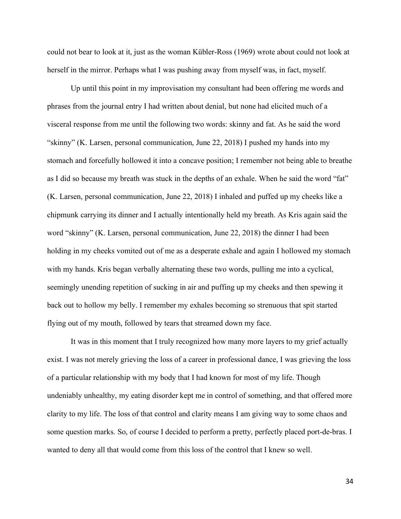could not bear to look at it, just as the woman Kübler-Ross (1969) wrote about could not look at herself in the mirror. Perhaps what I was pushing away from myself was, in fact, myself.

Up until this point in my improvisation my consultant had been offering me words and phrases from the journal entry I had written about denial, but none had elicited much of a visceral response from me until the following two words: skinny and fat. As he said the word "skinny" (K. Larsen, personal communication, June 22, 2018) I pushed my hands into my stomach and forcefully hollowed it into a concave position; I remember not being able to breathe as I did so because my breath was stuck in the depths of an exhale. When he said the word "fat" (K. Larsen, personal communication, June 22, 2018) I inhaled and puffed up my cheeks like a chipmunk carrying its dinner and I actually intentionally held my breath. As Kris again said the word "skinny" (K. Larsen, personal communication, June 22, 2018) the dinner I had been holding in my cheeks vomited out of me as a desperate exhale and again I hollowed my stomach with my hands. Kris began verbally alternating these two words, pulling me into a cyclical, seemingly unending repetition of sucking in air and puffing up my cheeks and then spewing it back out to hollow my belly. I remember my exhales becoming so strenuous that spit started flying out of my mouth, followed by tears that streamed down my face.

It was in this moment that I truly recognized how many more layers to my grief actually exist. I was not merely grieving the loss of a career in professional dance, I was grieving the loss of a particular relationship with my body that I had known for most of my life. Though undeniably unhealthy, my eating disorder kept me in control of something, and that offered more clarity to my life. The loss of that control and clarity means I am giving way to some chaos and some question marks. So, of course I decided to perform a pretty, perfectly placed port-de-bras. I wanted to deny all that would come from this loss of the control that I knew so well.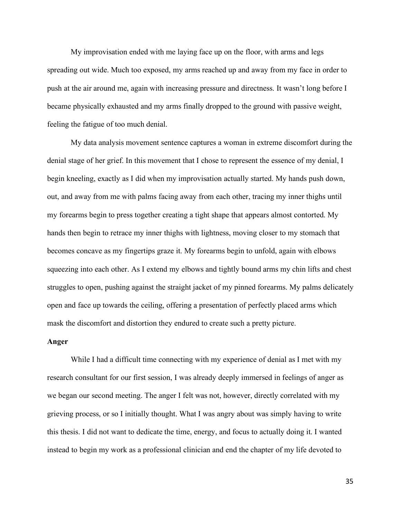My improvisation ended with me laying face up on the floor, with arms and legs spreading out wide. Much too exposed, my arms reached up and away from my face in order to push at the air around me, again with increasing pressure and directness. It wasn't long before I became physically exhausted and my arms finally dropped to the ground with passive weight, feeling the fatigue of too much denial.

My data analysis movement sentence captures a woman in extreme discomfort during the denial stage of her grief. In this movement that I chose to represent the essence of my denial, I begin kneeling, exactly as I did when my improvisation actually started. My hands push down, out, and away from me with palms facing away from each other, tracing my inner thighs until my forearms begin to press together creating a tight shape that appears almost contorted. My hands then begin to retrace my inner thighs with lightness, moving closer to my stomach that becomes concave as my fingertips graze it. My forearms begin to unfold, again with elbows squeezing into each other. As I extend my elbows and tightly bound arms my chin lifts and chest struggles to open, pushing against the straight jacket of my pinned forearms. My palms delicately open and face up towards the ceiling, offering a presentation of perfectly placed arms which mask the discomfort and distortion they endured to create such a pretty picture.

### **Anger**

While I had a difficult time connecting with my experience of denial as I met with my research consultant for our first session, I was already deeply immersed in feelings of anger as we began our second meeting. The anger I felt was not, however, directly correlated with my grieving process, or so I initially thought. What I was angry about was simply having to write this thesis. I did not want to dedicate the time, energy, and focus to actually doing it. I wanted instead to begin my work as a professional clinician and end the chapter of my life devoted to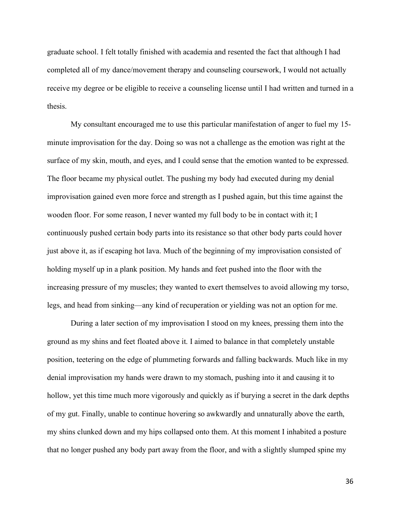graduate school. I felt totally finished with academia and resented the fact that although I had completed all of my dance/movement therapy and counseling coursework, I would not actually receive my degree or be eligible to receive a counseling license until I had written and turned in a thesis.

My consultant encouraged me to use this particular manifestation of anger to fuel my 15 minute improvisation for the day. Doing so was not a challenge as the emotion was right at the surface of my skin, mouth, and eyes, and I could sense that the emotion wanted to be expressed. The floor became my physical outlet. The pushing my body had executed during my denial improvisation gained even more force and strength as I pushed again, but this time against the wooden floor. For some reason, I never wanted my full body to be in contact with it; I continuously pushed certain body parts into its resistance so that other body parts could hover just above it, as if escaping hot lava. Much of the beginning of my improvisation consisted of holding myself up in a plank position. My hands and feet pushed into the floor with the increasing pressure of my muscles; they wanted to exert themselves to avoid allowing my torso, legs, and head from sinking—any kind of recuperation or yielding was not an option for me.

During a later section of my improvisation I stood on my knees, pressing them into the ground as my shins and feet floated above it. I aimed to balance in that completely unstable position, teetering on the edge of plummeting forwards and falling backwards. Much like in my denial improvisation my hands were drawn to my stomach, pushing into it and causing it to hollow, yet this time much more vigorously and quickly as if burying a secret in the dark depths of my gut. Finally, unable to continue hovering so awkwardly and unnaturally above the earth, my shins clunked down and my hips collapsed onto them. At this moment I inhabited a posture that no longer pushed any body part away from the floor, and with a slightly slumped spine my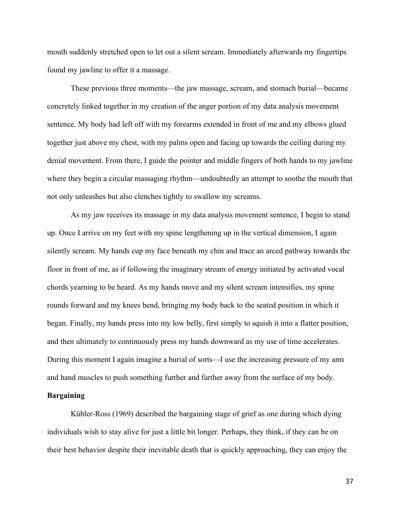mouth suddenly stretched open to let out a silent scream. Immediately afterwards my fingertips found my jawline to offer it a massage.

These previous three moments—the jaw massage, scream, and stomach burial—became concretely linked together in my creation of the anger portion of my data analysis movement sentence. My body had left off with my forearms extended in front of me and my elbows glued together just above my chest, with my palms open and facing up towards the ceiling during my denial movement. From there, I guide the pointer and middle fingers of both hands to my jawline where they begin a circular massaging rhythm—undoubtedly an attempt to soothe the mouth that not only unleashes but also clenches tightly to swallow my screams.

As my jaw receives its massage in my data analysis movement sentence, I begin to stand up. Once I arrive on my feet with my spine lengthening up in the vertical dimension, I again silently scream. My hands cup my face beneath my chin and trace an arced pathway towards the floor in front of me, as if following the imaginary stream of energy initiated by activated vocal chords yearning to be heard. As my hands move and my silent scream intensifies, my spine rounds forward and my knees bend, bringing my body back to the seated position in which it began. Finally, my hands press into my low belly, first simply to squish it into a flatter position, and then ultimately to continuously press my hands downward as my use of time accelerates. During this moment I again imagine a burial of sorts—I use the increasing pressure of my arm and hand muscles to push something further and further away from the surface of my body.

# **Bargaining**

Kübler-Ross (1969) described the bargaining stage of grief as one during which dying individuals wish to stay alive for just a little bit longer. Perhaps, they think, if they can be on their best behavior despite their inevitable death that is quickly approaching, they can enjoy the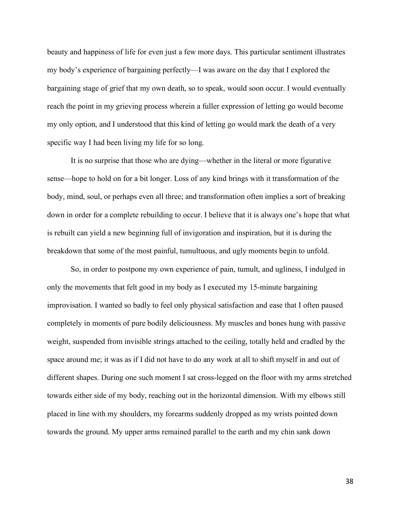beauty and happiness of life for even just a few more days. This particular sentiment illustrates my body's experience of bargaining perfectly—I was aware on the day that I explored the bargaining stage of grief that my own death, so to speak, would soon occur. I would eventually reach the point in my grieving process wherein a fuller expression of letting go would become my only option, and I understood that this kind of letting go would mark the death of a very specific way I had been living my life for so long.

It is no surprise that those who are dying—whether in the literal or more figurative sense—hope to hold on for a bit longer. Loss of any kind brings with it transformation of the body, mind, soul, or perhaps even all three; and transformation often implies a sort of breaking down in order for a complete rebuilding to occur. I believe that it is always one's hope that what is rebuilt can yield a new beginning full of invigoration and inspiration, but it is during the breakdown that some of the most painful, tumultuous, and ugly moments begin to unfold.

So, in order to postpone my own experience of pain, tumult, and ugliness, I indulged in only the movements that felt good in my body as I executed my 15-minute bargaining improvisation. I wanted so badly to feel only physical satisfaction and ease that I often paused completely in moments of pure bodily deliciousness. My muscles and bones hung with passive weight, suspended from invisible strings attached to the ceiling, totally held and cradled by the space around me; it was as if I did not have to do any work at all to shift myself in and out of different shapes. During one such moment I sat cross-legged on the floor with my arms stretched towards either side of my body, reaching out in the horizontal dimension. With my elbows still placed in line with my shoulders, my forearms suddenly dropped as my wrists pointed down towards the ground. My upper arms remained parallel to the earth and my chin sank down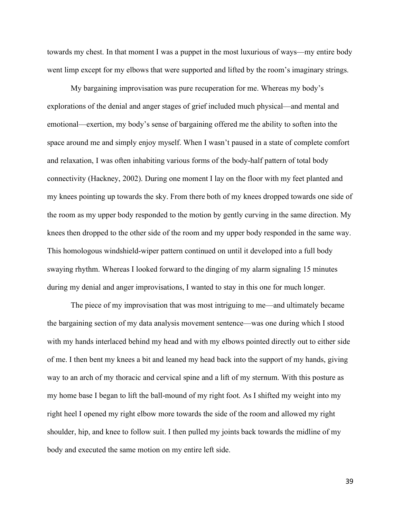towards my chest. In that moment I was a puppet in the most luxurious of ways—my entire body went limp except for my elbows that were supported and lifted by the room's imaginary strings.

My bargaining improvisation was pure recuperation for me. Whereas my body's explorations of the denial and anger stages of grief included much physical—and mental and emotional—exertion, my body's sense of bargaining offered me the ability to soften into the space around me and simply enjoy myself. When I wasn't paused in a state of complete comfort and relaxation, I was often inhabiting various forms of the body-half pattern of total body connectivity (Hackney, 2002). During one moment I lay on the floor with my feet planted and my knees pointing up towards the sky. From there both of my knees dropped towards one side of the room as my upper body responded to the motion by gently curving in the same direction. My knees then dropped to the other side of the room and my upper body responded in the same way. This homologous windshield-wiper pattern continued on until it developed into a full body swaying rhythm. Whereas I looked forward to the dinging of my alarm signaling 15 minutes during my denial and anger improvisations, I wanted to stay in this one for much longer.

The piece of my improvisation that was most intriguing to me—and ultimately became the bargaining section of my data analysis movement sentence—was one during which I stood with my hands interlaced behind my head and with my elbows pointed directly out to either side of me. I then bent my knees a bit and leaned my head back into the support of my hands, giving way to an arch of my thoracic and cervical spine and a lift of my sternum. With this posture as my home base I began to lift the ball-mound of my right foot. As I shifted my weight into my right heel I opened my right elbow more towards the side of the room and allowed my right shoulder, hip, and knee to follow suit. I then pulled my joints back towards the midline of my body and executed the same motion on my entire left side.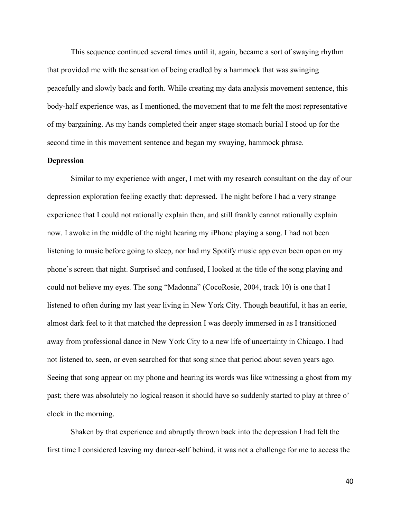This sequence continued several times until it, again, became a sort of swaying rhythm that provided me with the sensation of being cradled by a hammock that was swinging peacefully and slowly back and forth. While creating my data analysis movement sentence, this body-half experience was, as I mentioned, the movement that to me felt the most representative of my bargaining. As my hands completed their anger stage stomach burial I stood up for the second time in this movement sentence and began my swaying, hammock phrase.

### **Depression**

Similar to my experience with anger, I met with my research consultant on the day of our depression exploration feeling exactly that: depressed. The night before I had a very strange experience that I could not rationally explain then, and still frankly cannot rationally explain now. I awoke in the middle of the night hearing my iPhone playing a song. I had not been listening to music before going to sleep, nor had my Spotify music app even been open on my phone's screen that night. Surprised and confused, I looked at the title of the song playing and could not believe my eyes. The song "Madonna" (CocoRosie, 2004, track 10) is one that I listened to often during my last year living in New York City. Though beautiful, it has an eerie, almost dark feel to it that matched the depression I was deeply immersed in as I transitioned away from professional dance in New York City to a new life of uncertainty in Chicago. I had not listened to, seen, or even searched for that song since that period about seven years ago. Seeing that song appear on my phone and hearing its words was like witnessing a ghost from my past; there was absolutely no logical reason it should have so suddenly started to play at three o' clock in the morning.

Shaken by that experience and abruptly thrown back into the depression I had felt the first time I considered leaving my dancer-self behind, it was not a challenge for me to access the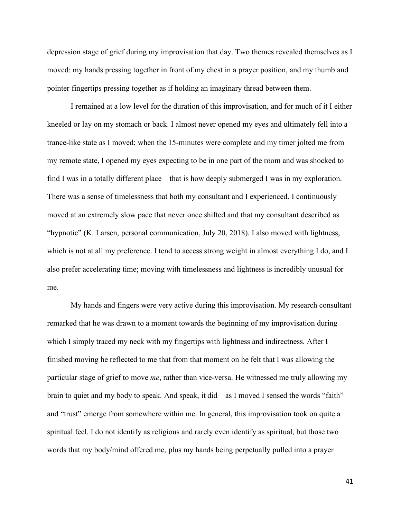depression stage of grief during my improvisation that day. Two themes revealed themselves as I moved: my hands pressing together in front of my chest in a prayer position, and my thumb and pointer fingertips pressing together as if holding an imaginary thread between them.

I remained at a low level for the duration of this improvisation, and for much of it I either kneeled or lay on my stomach or back. I almost never opened my eyes and ultimately fell into a trance-like state as I moved; when the 15-minutes were complete and my timer jolted me from my remote state, I opened my eyes expecting to be in one part of the room and was shocked to find I was in a totally different place—that is how deeply submerged I was in my exploration. There was a sense of timelessness that both my consultant and I experienced. I continuously moved at an extremely slow pace that never once shifted and that my consultant described as "hypnotic" (K. Larsen, personal communication, July 20, 2018). I also moved with lightness, which is not at all my preference. I tend to access strong weight in almost everything I do, and I also prefer accelerating time; moving with timelessness and lightness is incredibly unusual for me.

My hands and fingers were very active during this improvisation. My research consultant remarked that he was drawn to a moment towards the beginning of my improvisation during which I simply traced my neck with my fingertips with lightness and indirectness. After I finished moving he reflected to me that from that moment on he felt that I was allowing the particular stage of grief to move *me*, rather than vice-versa. He witnessed me truly allowing my brain to quiet and my body to speak. And speak, it did—as I moved I sensed the words "faith" and "trust" emerge from somewhere within me. In general, this improvisation took on quite a spiritual feel. I do not identify as religious and rarely even identify as spiritual, but those two words that my body/mind offered me, plus my hands being perpetually pulled into a prayer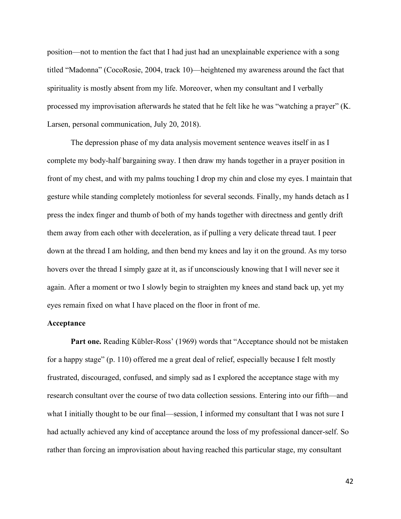position—not to mention the fact that I had just had an unexplainable experience with a song titled "Madonna" (CocoRosie, 2004, track 10)—heightened my awareness around the fact that spirituality is mostly absent from my life. Moreover, when my consultant and I verbally processed my improvisation afterwards he stated that he felt like he was "watching a prayer" (K. Larsen, personal communication, July 20, 2018).

The depression phase of my data analysis movement sentence weaves itself in as I complete my body-half bargaining sway. I then draw my hands together in a prayer position in front of my chest, and with my palms touching I drop my chin and close my eyes. I maintain that gesture while standing completely motionless for several seconds. Finally, my hands detach as I press the index finger and thumb of both of my hands together with directness and gently drift them away from each other with deceleration, as if pulling a very delicate thread taut. I peer down at the thread I am holding, and then bend my knees and lay it on the ground. As my torso hovers over the thread I simply gaze at it, as if unconsciously knowing that I will never see it again. After a moment or two I slowly begin to straighten my knees and stand back up, yet my eyes remain fixed on what I have placed on the floor in front of me.

## **Acceptance**

Part one. Reading Kübler-Ross' (1969) words that "Acceptance should not be mistaken for a happy stage" (p. 110) offered me a great deal of relief, especially because I felt mostly frustrated, discouraged, confused, and simply sad as I explored the acceptance stage with my research consultant over the course of two data collection sessions. Entering into our fifth—and what I initially thought to be our final—session, I informed my consultant that I was not sure I had actually achieved any kind of acceptance around the loss of my professional dancer-self. So rather than forcing an improvisation about having reached this particular stage, my consultant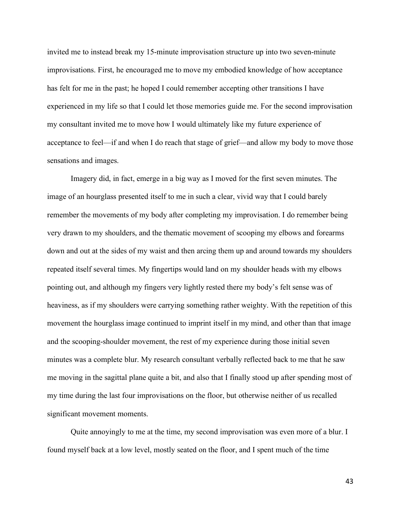invited me to instead break my 15-minute improvisation structure up into two seven-minute improvisations. First, he encouraged me to move my embodied knowledge of how acceptance has felt for me in the past; he hoped I could remember accepting other transitions I have experienced in my life so that I could let those memories guide me. For the second improvisation my consultant invited me to move how I would ultimately like my future experience of acceptance to feel—if and when I do reach that stage of grief—and allow my body to move those sensations and images.

Imagery did, in fact, emerge in a big way as I moved for the first seven minutes. The image of an hourglass presented itself to me in such a clear, vivid way that I could barely remember the movements of my body after completing my improvisation. I do remember being very drawn to my shoulders, and the thematic movement of scooping my elbows and forearms down and out at the sides of my waist and then arcing them up and around towards my shoulders repeated itself several times. My fingertips would land on my shoulder heads with my elbows pointing out, and although my fingers very lightly rested there my body's felt sense was of heaviness, as if my shoulders were carrying something rather weighty. With the repetition of this movement the hourglass image continued to imprint itself in my mind, and other than that image and the scooping-shoulder movement, the rest of my experience during those initial seven minutes was a complete blur. My research consultant verbally reflected back to me that he saw me moving in the sagittal plane quite a bit, and also that I finally stood up after spending most of my time during the last four improvisations on the floor, but otherwise neither of us recalled significant movement moments.

Quite annoyingly to me at the time, my second improvisation was even more of a blur. I found myself back at a low level, mostly seated on the floor, and I spent much of the time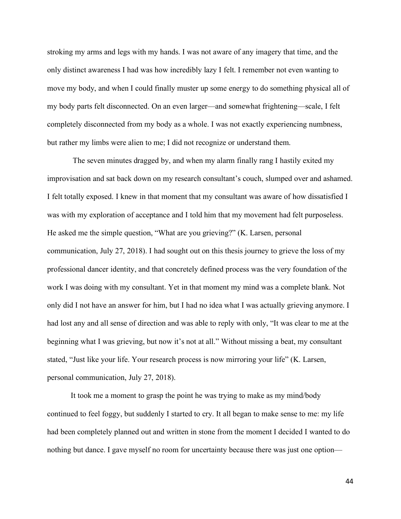stroking my arms and legs with my hands. I was not aware of any imagery that time, and the only distinct awareness I had was how incredibly lazy I felt. I remember not even wanting to move my body, and when I could finally muster up some energy to do something physical all of my body parts felt disconnected. On an even larger—and somewhat frightening—scale, I felt completely disconnected from my body as a whole. I was not exactly experiencing numbness, but rather my limbs were alien to me; I did not recognize or understand them.

The seven minutes dragged by, and when my alarm finally rang I hastily exited my improvisation and sat back down on my research consultant's couch, slumped over and ashamed. I felt totally exposed. I knew in that moment that my consultant was aware of how dissatisfied I was with my exploration of acceptance and I told him that my movement had felt purposeless. He asked me the simple question, "What are you grieving?" (K. Larsen, personal communication, July 27, 2018). I had sought out on this thesis journey to grieve the loss of my professional dancer identity, and that concretely defined process was the very foundation of the work I was doing with my consultant. Yet in that moment my mind was a complete blank. Not only did I not have an answer for him, but I had no idea what I was actually grieving anymore. I had lost any and all sense of direction and was able to reply with only, "It was clear to me at the beginning what I was grieving, but now it's not at all." Without missing a beat, my consultant stated, "Just like your life. Your research process is now mirroring your life" (K. Larsen, personal communication, July 27, 2018).

It took me a moment to grasp the point he was trying to make as my mind/body continued to feel foggy, but suddenly I started to cry. It all began to make sense to me: my life had been completely planned out and written in stone from the moment I decided I wanted to do nothing but dance. I gave myself no room for uncertainty because there was just one option—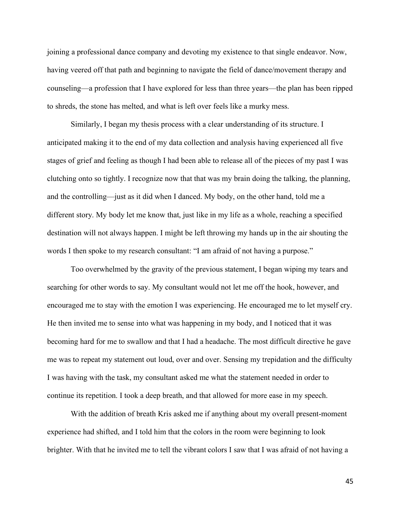joining a professional dance company and devoting my existence to that single endeavor. Now, having veered off that path and beginning to navigate the field of dance/movement therapy and counseling—a profession that I have explored for less than three years—the plan has been ripped to shreds, the stone has melted, and what is left over feels like a murky mess.

Similarly, I began my thesis process with a clear understanding of its structure. I anticipated making it to the end of my data collection and analysis having experienced all five stages of grief and feeling as though I had been able to release all of the pieces of my past I was clutching onto so tightly. I recognize now that that was my brain doing the talking, the planning, and the controlling—just as it did when I danced. My body, on the other hand, told me a different story. My body let me know that, just like in my life as a whole, reaching a specified destination will not always happen. I might be left throwing my hands up in the air shouting the words I then spoke to my research consultant: "I am afraid of not having a purpose."

Too overwhelmed by the gravity of the previous statement, I began wiping my tears and searching for other words to say. My consultant would not let me off the hook, however, and encouraged me to stay with the emotion I was experiencing. He encouraged me to let myself cry. He then invited me to sense into what was happening in my body, and I noticed that it was becoming hard for me to swallow and that I had a headache. The most difficult directive he gave me was to repeat my statement out loud, over and over. Sensing my trepidation and the difficulty I was having with the task, my consultant asked me what the statement needed in order to continue its repetition. I took a deep breath, and that allowed for more ease in my speech.

With the addition of breath Kris asked me if anything about my overall present-moment experience had shifted, and I told him that the colors in the room were beginning to look brighter. With that he invited me to tell the vibrant colors I saw that I was afraid of not having a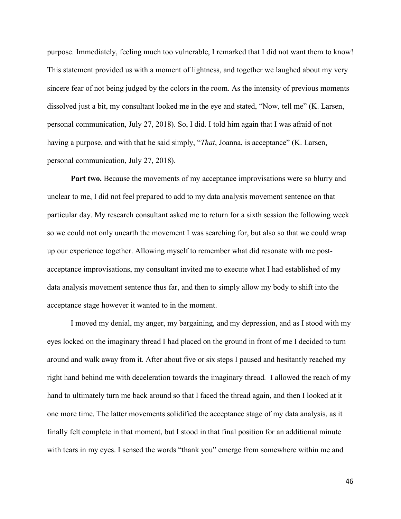purpose. Immediately, feeling much too vulnerable, I remarked that I did not want them to know! This statement provided us with a moment of lightness, and together we laughed about my very sincere fear of not being judged by the colors in the room. As the intensity of previous moments dissolved just a bit, my consultant looked me in the eye and stated, "Now, tell me" (K. Larsen, personal communication, July 27, 2018). So, I did. I told him again that I was afraid of not having a purpose, and with that he said simply, "*That*, Joanna, is acceptance" (K. Larsen, personal communication, July 27, 2018).

**Part two.** Because the movements of my acceptance improvisations were so blurry and unclear to me, I did not feel prepared to add to my data analysis movement sentence on that particular day. My research consultant asked me to return for a sixth session the following week so we could not only unearth the movement I was searching for, but also so that we could wrap up our experience together. Allowing myself to remember what did resonate with me postacceptance improvisations, my consultant invited me to execute what I had established of my data analysis movement sentence thus far, and then to simply allow my body to shift into the acceptance stage however it wanted to in the moment.

I moved my denial, my anger, my bargaining, and my depression, and as I stood with my eyes locked on the imaginary thread I had placed on the ground in front of me I decided to turn around and walk away from it. After about five or six steps I paused and hesitantly reached my right hand behind me with deceleration towards the imaginary thread*.* I allowed the reach of my hand to ultimately turn me back around so that I faced the thread again, and then I looked at it one more time. The latter movements solidified the acceptance stage of my data analysis, as it finally felt complete in that moment, but I stood in that final position for an additional minute with tears in my eyes. I sensed the words "thank you" emerge from somewhere within me and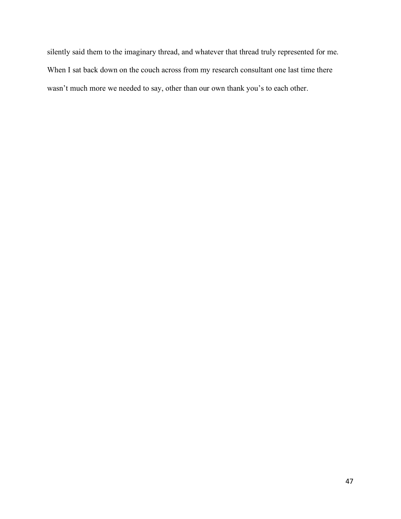silently said them to the imaginary thread, and whatever that thread truly represented for me. When I sat back down on the couch across from my research consultant one last time there wasn't much more we needed to say, other than our own thank you's to each other.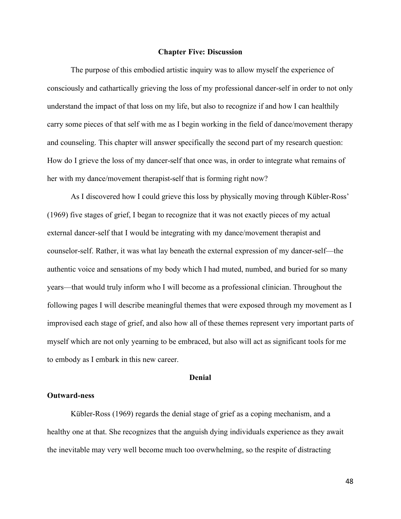#### **Chapter Five: Discussion**

The purpose of this embodied artistic inquiry was to allow myself the experience of consciously and cathartically grieving the loss of my professional dancer-self in order to not only understand the impact of that loss on my life, but also to recognize if and how I can healthily carry some pieces of that self with me as I begin working in the field of dance/movement therapy and counseling. This chapter will answer specifically the second part of my research question: How do I grieve the loss of my dancer-self that once was, in order to integrate what remains of her with my dance/movement therapist-self that is forming right now?

As I discovered how I could grieve this loss by physically moving through Kübler-Ross' (1969) five stages of grief, I began to recognize that it was not exactly pieces of my actual external dancer-self that I would be integrating with my dance/movement therapist and counselor-self. Rather, it was what lay beneath the external expression of my dancer-self—the authentic voice and sensations of my body which I had muted, numbed, and buried for so many years—that would truly inform who I will become as a professional clinician. Throughout the following pages I will describe meaningful themes that were exposed through my movement as I improvised each stage of grief, and also how all of these themes represent very important parts of myself which are not only yearning to be embraced, but also will act as significant tools for me to embody as I embark in this new career.

#### **Denial**

## **Outward-ness**

Kübler-Ross (1969) regards the denial stage of grief as a coping mechanism, and a healthy one at that. She recognizes that the anguish dying individuals experience as they await the inevitable may very well become much too overwhelming, so the respite of distracting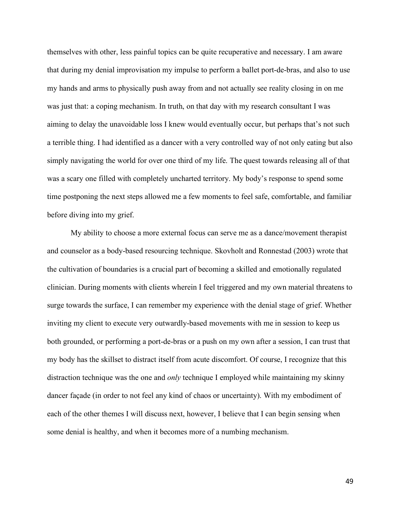themselves with other, less painful topics can be quite recuperative and necessary. I am aware that during my denial improvisation my impulse to perform a ballet port-de-bras, and also to use my hands and arms to physically push away from and not actually see reality closing in on me was just that: a coping mechanism. In truth, on that day with my research consultant I was aiming to delay the unavoidable loss I knew would eventually occur, but perhaps that's not such a terrible thing. I had identified as a dancer with a very controlled way of not only eating but also simply navigating the world for over one third of my life. The quest towards releasing all of that was a scary one filled with completely uncharted territory. My body's response to spend some time postponing the next steps allowed me a few moments to feel safe, comfortable, and familiar before diving into my grief.

My ability to choose a more external focus can serve me as a dance/movement therapist and counselor as a body-based resourcing technique. Skovholt and Ronnestad (2003) wrote that the cultivation of boundaries is a crucial part of becoming a skilled and emotionally regulated clinician. During moments with clients wherein I feel triggered and my own material threatens to surge towards the surface, I can remember my experience with the denial stage of grief. Whether inviting my client to execute very outwardly-based movements with me in session to keep us both grounded, or performing a port-de-bras or a push on my own after a session, I can trust that my body has the skillset to distract itself from acute discomfort. Of course, I recognize that this distraction technique was the one and *only* technique I employed while maintaining my skinny dancer façade (in order to not feel any kind of chaos or uncertainty). With my embodiment of each of the other themes I will discuss next, however, I believe that I can begin sensing when some denial is healthy, and when it becomes more of a numbing mechanism.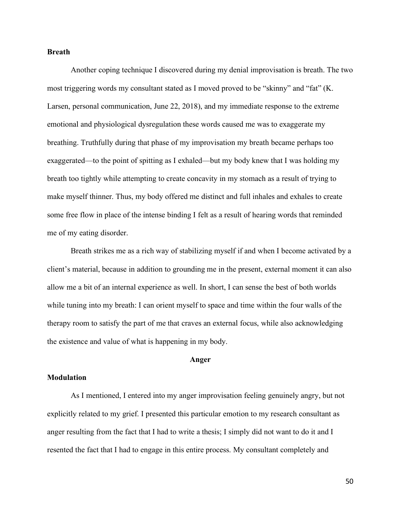### **Breath**

Another coping technique I discovered during my denial improvisation is breath. The two most triggering words my consultant stated as I moved proved to be "skinny" and "fat" (K. Larsen, personal communication, June 22, 2018), and my immediate response to the extreme emotional and physiological dysregulation these words caused me was to exaggerate my breathing. Truthfully during that phase of my improvisation my breath became perhaps too exaggerated—to the point of spitting as I exhaled—but my body knew that I was holding my breath too tightly while attempting to create concavity in my stomach as a result of trying to make myself thinner. Thus, my body offered me distinct and full inhales and exhales to create some free flow in place of the intense binding I felt as a result of hearing words that reminded me of my eating disorder.

Breath strikes me as a rich way of stabilizing myself if and when I become activated by a client's material, because in addition to grounding me in the present, external moment it can also allow me a bit of an internal experience as well. In short, I can sense the best of both worlds while tuning into my breath: I can orient myself to space and time within the four walls of the therapy room to satisfy the part of me that craves an external focus, while also acknowledging the existence and value of what is happening in my body.

#### **Anger**

#### **Modulation**

As I mentioned, I entered into my anger improvisation feeling genuinely angry, but not explicitly related to my grief. I presented this particular emotion to my research consultant as anger resulting from the fact that I had to write a thesis; I simply did not want to do it and I resented the fact that I had to engage in this entire process. My consultant completely and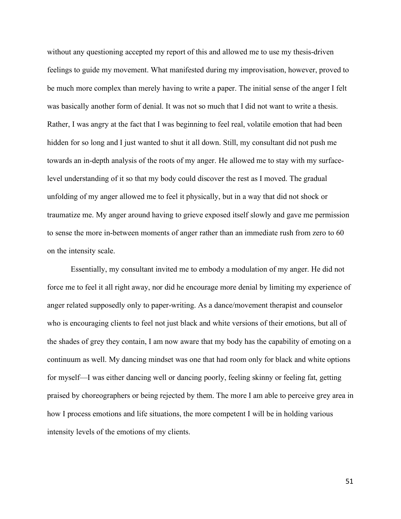without any questioning accepted my report of this and allowed me to use my thesis-driven feelings to guide my movement. What manifested during my improvisation, however, proved to be much more complex than merely having to write a paper. The initial sense of the anger I felt was basically another form of denial. It was not so much that I did not want to write a thesis. Rather, I was angry at the fact that I was beginning to feel real, volatile emotion that had been hidden for so long and I just wanted to shut it all down. Still, my consultant did not push me towards an in-depth analysis of the roots of my anger. He allowed me to stay with my surfacelevel understanding of it so that my body could discover the rest as I moved. The gradual unfolding of my anger allowed me to feel it physically, but in a way that did not shock or traumatize me. My anger around having to grieve exposed itself slowly and gave me permission to sense the more in-between moments of anger rather than an immediate rush from zero to 60 on the intensity scale.

Essentially, my consultant invited me to embody a modulation of my anger. He did not force me to feel it all right away, nor did he encourage more denial by limiting my experience of anger related supposedly only to paper-writing. As a dance/movement therapist and counselor who is encouraging clients to feel not just black and white versions of their emotions, but all of the shades of grey they contain, I am now aware that my body has the capability of emoting on a continuum as well. My dancing mindset was one that had room only for black and white options for myself—I was either dancing well or dancing poorly, feeling skinny or feeling fat, getting praised by choreographers or being rejected by them. The more I am able to perceive grey area in how I process emotions and life situations, the more competent I will be in holding various intensity levels of the emotions of my clients.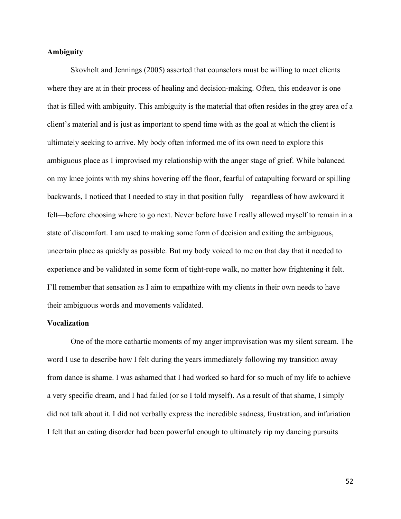## **Ambiguity**

Skovholt and Jennings (2005) asserted that counselors must be willing to meet clients where they are at in their process of healing and decision-making. Often, this endeavor is one that is filled with ambiguity. This ambiguity is the material that often resides in the grey area of a client's material and is just as important to spend time with as the goal at which the client is ultimately seeking to arrive. My body often informed me of its own need to explore this ambiguous place as I improvised my relationship with the anger stage of grief. While balanced on my knee joints with my shins hovering off the floor, fearful of catapulting forward or spilling backwards, I noticed that I needed to stay in that position fully—regardless of how awkward it felt—before choosing where to go next. Never before have I really allowed myself to remain in a state of discomfort. I am used to making some form of decision and exiting the ambiguous, uncertain place as quickly as possible. But my body voiced to me on that day that it needed to experience and be validated in some form of tight-rope walk, no matter how frightening it felt. I'll remember that sensation as I aim to empathize with my clients in their own needs to have their ambiguous words and movements validated.

### **Vocalization**

One of the more cathartic moments of my anger improvisation was my silent scream. The word I use to describe how I felt during the years immediately following my transition away from dance is shame. I was ashamed that I had worked so hard for so much of my life to achieve a very specific dream, and I had failed (or so I told myself). As a result of that shame, I simply did not talk about it. I did not verbally express the incredible sadness, frustration, and infuriation I felt that an eating disorder had been powerful enough to ultimately rip my dancing pursuits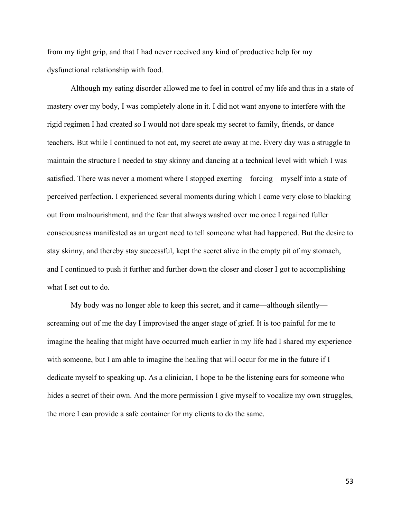from my tight grip, and that I had never received any kind of productive help for my dysfunctional relationship with food.

Although my eating disorder allowed me to feel in control of my life and thus in a state of mastery over my body, I was completely alone in it. I did not want anyone to interfere with the rigid regimen I had created so I would not dare speak my secret to family, friends, or dance teachers. But while I continued to not eat, my secret ate away at me. Every day was a struggle to maintain the structure I needed to stay skinny and dancing at a technical level with which I was satisfied. There was never a moment where I stopped exerting—forcing—myself into a state of perceived perfection. I experienced several moments during which I came very close to blacking out from malnourishment, and the fear that always washed over me once I regained fuller consciousness manifested as an urgent need to tell someone what had happened. But the desire to stay skinny, and thereby stay successful, kept the secret alive in the empty pit of my stomach, and I continued to push it further and further down the closer and closer I got to accomplishing what I set out to do.

My body was no longer able to keep this secret, and it came—although silently screaming out of me the day I improvised the anger stage of grief. It is too painful for me to imagine the healing that might have occurred much earlier in my life had I shared my experience with someone, but I am able to imagine the healing that will occur for me in the future if I dedicate myself to speaking up. As a clinician, I hope to be the listening ears for someone who hides a secret of their own. And the more permission I give myself to vocalize my own struggles, the more I can provide a safe container for my clients to do the same.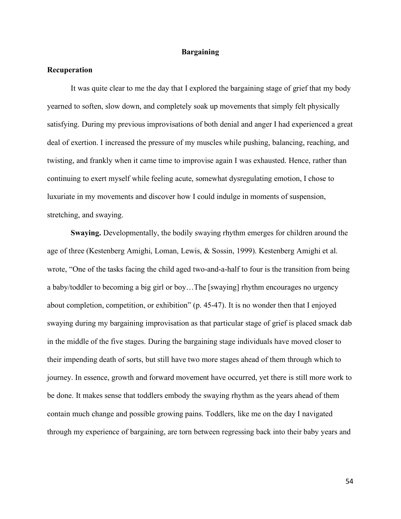### **Bargaining**

## **Recuperation**

It was quite clear to me the day that I explored the bargaining stage of grief that my body yearned to soften, slow down, and completely soak up movements that simply felt physically satisfying. During my previous improvisations of both denial and anger I had experienced a great deal of exertion. I increased the pressure of my muscles while pushing, balancing, reaching, and twisting, and frankly when it came time to improvise again I was exhausted. Hence, rather than continuing to exert myself while feeling acute, somewhat dysregulating emotion, I chose to luxuriate in my movements and discover how I could indulge in moments of suspension, stretching, and swaying.

**Swaying.** Developmentally, the bodily swaying rhythm emerges for children around the age of three (Kestenberg Amighi, Loman, Lewis, & Sossin, 1999). Kestenberg Amighi et al. wrote, "One of the tasks facing the child aged two-and-a-half to four is the transition from being a baby/toddler to becoming a big girl or boy…The [swaying] rhythm encourages no urgency about completion, competition, or exhibition" (p. 45-47). It is no wonder then that I enjoyed swaying during my bargaining improvisation as that particular stage of grief is placed smack dab in the middle of the five stages. During the bargaining stage individuals have moved closer to their impending death of sorts, but still have two more stages ahead of them through which to journey. In essence, growth and forward movement have occurred, yet there is still more work to be done. It makes sense that toddlers embody the swaying rhythm as the years ahead of them contain much change and possible growing pains. Toddlers, like me on the day I navigated through my experience of bargaining, are torn between regressing back into their baby years and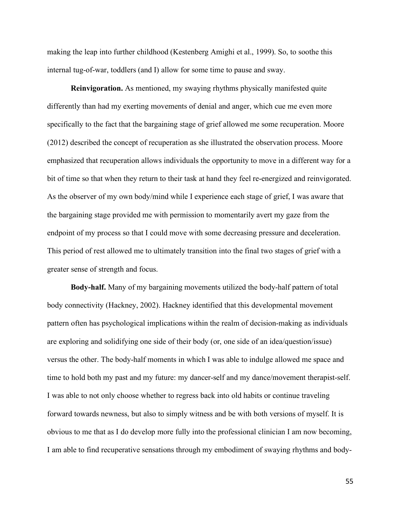making the leap into further childhood (Kestenberg Amighi et al., 1999). So, to soothe this internal tug-of-war, toddlers (and I) allow for some time to pause and sway.

**Reinvigoration.** As mentioned, my swaying rhythms physically manifested quite differently than had my exerting movements of denial and anger, which cue me even more specifically to the fact that the bargaining stage of grief allowed me some recuperation. Moore (2012) described the concept of recuperation as she illustrated the observation process. Moore emphasized that recuperation allows individuals the opportunity to move in a different way for a bit of time so that when they return to their task at hand they feel re-energized and reinvigorated. As the observer of my own body/mind while I experience each stage of grief, I was aware that the bargaining stage provided me with permission to momentarily avert my gaze from the endpoint of my process so that I could move with some decreasing pressure and deceleration. This period of rest allowed me to ultimately transition into the final two stages of grief with a greater sense of strength and focus.

**Body-half.** Many of my bargaining movements utilized the body-half pattern of total body connectivity (Hackney, 2002). Hackney identified that this developmental movement pattern often has psychological implications within the realm of decision-making as individuals are exploring and solidifying one side of their body (or, one side of an idea/question/issue) versus the other. The body-half moments in which I was able to indulge allowed me space and time to hold both my past and my future: my dancer-self and my dance/movement therapist-self. I was able to not only choose whether to regress back into old habits or continue traveling forward towards newness, but also to simply witness and be with both versions of myself. It is obvious to me that as I do develop more fully into the professional clinician I am now becoming, I am able to find recuperative sensations through my embodiment of swaying rhythms and body-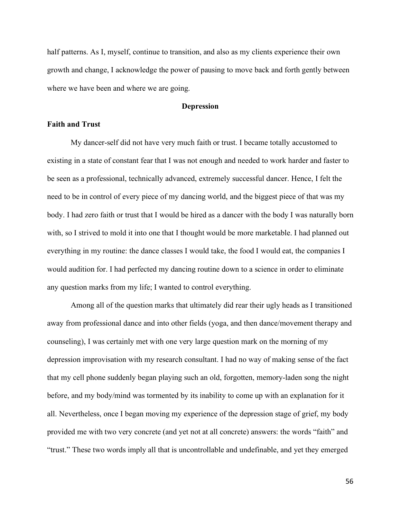half patterns. As I, myself, continue to transition, and also as my clients experience their own growth and change, I acknowledge the power of pausing to move back and forth gently between where we have been and where we are going.

## **Depression**

## **Faith and Trust**

My dancer-self did not have very much faith or trust. I became totally accustomed to existing in a state of constant fear that I was not enough and needed to work harder and faster to be seen as a professional, technically advanced, extremely successful dancer. Hence, I felt the need to be in control of every piece of my dancing world, and the biggest piece of that was my body. I had zero faith or trust that I would be hired as a dancer with the body I was naturally born with, so I strived to mold it into one that I thought would be more marketable. I had planned out everything in my routine: the dance classes I would take, the food I would eat, the companies I would audition for. I had perfected my dancing routine down to a science in order to eliminate any question marks from my life; I wanted to control everything.

Among all of the question marks that ultimately did rear their ugly heads as I transitioned away from professional dance and into other fields (yoga, and then dance/movement therapy and counseling), I was certainly met with one very large question mark on the morning of my depression improvisation with my research consultant. I had no way of making sense of the fact that my cell phone suddenly began playing such an old, forgotten, memory-laden song the night before, and my body/mind was tormented by its inability to come up with an explanation for it all. Nevertheless, once I began moving my experience of the depression stage of grief, my body provided me with two very concrete (and yet not at all concrete) answers: the words "faith" and "trust." These two words imply all that is uncontrollable and undefinable, and yet they emerged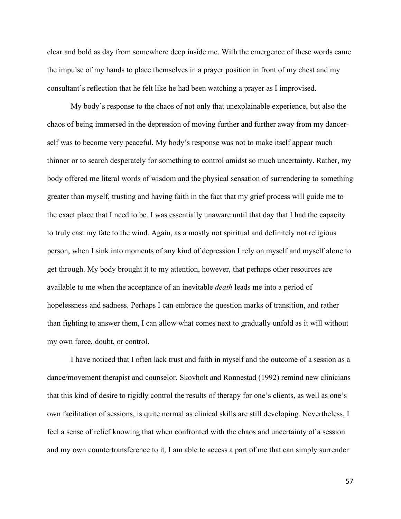clear and bold as day from somewhere deep inside me. With the emergence of these words came the impulse of my hands to place themselves in a prayer position in front of my chest and my consultant's reflection that he felt like he had been watching a prayer as I improvised.

My body's response to the chaos of not only that unexplainable experience, but also the chaos of being immersed in the depression of moving further and further away from my dancerself was to become very peaceful. My body's response was not to make itself appear much thinner or to search desperately for something to control amidst so much uncertainty. Rather, my body offered me literal words of wisdom and the physical sensation of surrendering to something greater than myself, trusting and having faith in the fact that my grief process will guide me to the exact place that I need to be. I was essentially unaware until that day that I had the capacity to truly cast my fate to the wind. Again, as a mostly not spiritual and definitely not religious person, when I sink into moments of any kind of depression I rely on myself and myself alone to get through. My body brought it to my attention, however, that perhaps other resources are available to me when the acceptance of an inevitable *death* leads me into a period of hopelessness and sadness. Perhaps I can embrace the question marks of transition, and rather than fighting to answer them, I can allow what comes next to gradually unfold as it will without my own force, doubt, or control.

I have noticed that I often lack trust and faith in myself and the outcome of a session as a dance/movement therapist and counselor. Skovholt and Ronnestad (1992) remind new clinicians that this kind of desire to rigidly control the results of therapy for one's clients, as well as one's own facilitation of sessions, is quite normal as clinical skills are still developing. Nevertheless, I feel a sense of relief knowing that when confronted with the chaos and uncertainty of a session and my own countertransference to it, I am able to access a part of me that can simply surrender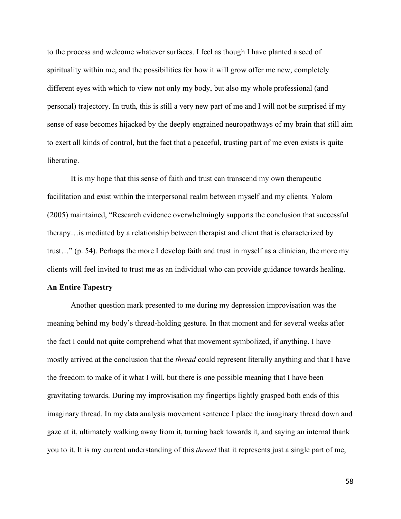to the process and welcome whatever surfaces. I feel as though I have planted a seed of spirituality within me, and the possibilities for how it will grow offer me new, completely different eyes with which to view not only my body, but also my whole professional (and personal) trajectory. In truth, this is still a very new part of me and I will not be surprised if my sense of ease becomes hijacked by the deeply engrained neuropathways of my brain that still aim to exert all kinds of control, but the fact that a peaceful, trusting part of me even exists is quite liberating.

It is my hope that this sense of faith and trust can transcend my own therapeutic facilitation and exist within the interpersonal realm between myself and my clients. Yalom (2005) maintained, "Research evidence overwhelmingly supports the conclusion that successful therapy…is mediated by a relationship between therapist and client that is characterized by trust…" (p. 54). Perhaps the more I develop faith and trust in myself as a clinician, the more my clients will feel invited to trust me as an individual who can provide guidance towards healing.

#### **An Entire Tapestry**

Another question mark presented to me during my depression improvisation was the meaning behind my body's thread-holding gesture. In that moment and for several weeks after the fact I could not quite comprehend what that movement symbolized, if anything. I have mostly arrived at the conclusion that the *thread* could represent literally anything and that I have the freedom to make of it what I will, but there is one possible meaning that I have been gravitating towards. During my improvisation my fingertips lightly grasped both ends of this imaginary thread. In my data analysis movement sentence I place the imaginary thread down and gaze at it, ultimately walking away from it, turning back towards it, and saying an internal thank you to it. It is my current understanding of this *thread* that it represents just a single part of me,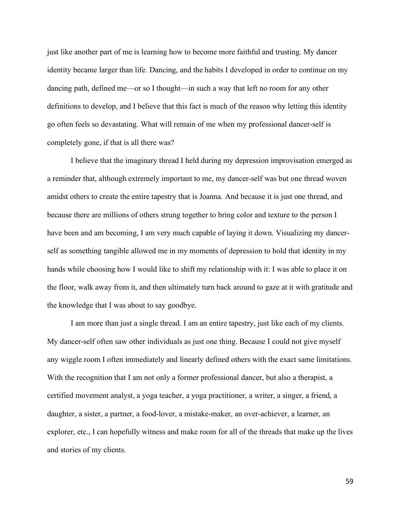just like another part of me is learning how to become more faithful and trusting. My dancer identity became larger than life. Dancing, and the habits I developed in order to continue on my dancing path, defined me—or so I thought—in such a way that left no room for any other definitions to develop, and I believe that this fact is much of the reason why letting this identity go often feels so devastating. What will remain of me when my professional dancer-self is completely gone, if that is all there was?

I believe that the imaginary thread I held during my depression improvisation emerged as a reminder that, although extremely important to me, my dancer-self was but one thread woven amidst others to create the entire tapestry that is Joanna. And because it is just one thread, and because there are millions of others strung together to bring color and texture to the person I have been and am becoming, I am very much capable of laying it down. Visualizing my dancerself as something tangible allowed me in my moments of depression to hold that identity in my hands while choosing how I would like to shift my relationship with it: I was able to place it on the floor, walk away from it, and then ultimately turn back around to gaze at it with gratitude and the knowledge that I was about to say goodbye.

I am more than just a single thread. I am an entire tapestry, just like each of my clients. My dancer-self often saw other individuals as just one thing. Because I could not give myself any wiggle room I often immediately and linearly defined others with the exact same limitations. With the recognition that I am not only a former professional dancer, but also a therapist, a certified movement analyst, a yoga teacher, a yoga practitioner, a writer, a singer, a friend, a daughter, a sister, a partner, a food-lover, a mistake-maker, an over-achiever, a learner, an explorer, etc., I can hopefully witness and make room for all of the threads that make up the lives and stories of my clients.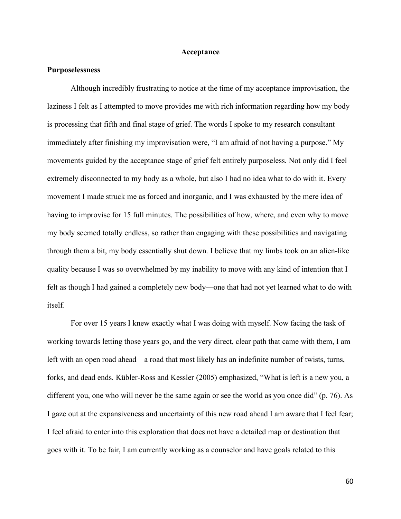#### **Acceptance**

### **Purposelessness**

Although incredibly frustrating to notice at the time of my acceptance improvisation, the laziness I felt as I attempted to move provides me with rich information regarding how my body is processing that fifth and final stage of grief. The words I spoke to my research consultant immediately after finishing my improvisation were, "I am afraid of not having a purpose." My movements guided by the acceptance stage of grief felt entirely purposeless. Not only did I feel extremely disconnected to my body as a whole, but also I had no idea what to do with it. Every movement I made struck me as forced and inorganic, and I was exhausted by the mere idea of having to improvise for 15 full minutes. The possibilities of how, where, and even why to move my body seemed totally endless, so rather than engaging with these possibilities and navigating through them a bit, my body essentially shut down. I believe that my limbs took on an alien-like quality because I was so overwhelmed by my inability to move with any kind of intention that I felt as though I had gained a completely new body—one that had not yet learned what to do with itself.

For over 15 years I knew exactly what I was doing with myself. Now facing the task of working towards letting those years go, and the very direct, clear path that came with them, I am left with an open road ahead—a road that most likely has an indefinite number of twists, turns, forks, and dead ends. Kübler-Ross and Kessler (2005) emphasized, "What is left is a new you, a different you, one who will never be the same again or see the world as you once did" (p. 76). As I gaze out at the expansiveness and uncertainty of this new road ahead I am aware that I feel fear; I feel afraid to enter into this exploration that does not have a detailed map or destination that goes with it. To be fair, I am currently working as a counselor and have goals related to this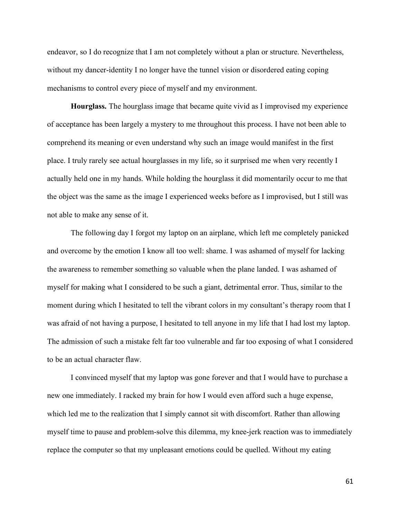endeavor, so I do recognize that I am not completely without a plan or structure. Nevertheless, without my dancer-identity I no longer have the tunnel vision or disordered eating coping mechanisms to control every piece of myself and my environment.

**Hourglass.** The hourglass image that became quite vivid as I improvised my experience of acceptance has been largely a mystery to me throughout this process. I have not been able to comprehend its meaning or even understand why such an image would manifest in the first place. I truly rarely see actual hourglasses in my life, so it surprised me when very recently I actually held one in my hands. While holding the hourglass it did momentarily occur to me that the object was the same as the image I experienced weeks before as I improvised, but I still was not able to make any sense of it.

The following day I forgot my laptop on an airplane, which left me completely panicked and overcome by the emotion I know all too well: shame. I was ashamed of myself for lacking the awareness to remember something so valuable when the plane landed. I was ashamed of myself for making what I considered to be such a giant, detrimental error. Thus, similar to the moment during which I hesitated to tell the vibrant colors in my consultant's therapy room that I was afraid of not having a purpose, I hesitated to tell anyone in my life that I had lost my laptop. The admission of such a mistake felt far too vulnerable and far too exposing of what I considered to be an actual character flaw.

I convinced myself that my laptop was gone forever and that I would have to purchase a new one immediately. I racked my brain for how I would even afford such a huge expense, which led me to the realization that I simply cannot sit with discomfort. Rather than allowing myself time to pause and problem-solve this dilemma, my knee-jerk reaction was to immediately replace the computer so that my unpleasant emotions could be quelled. Without my eating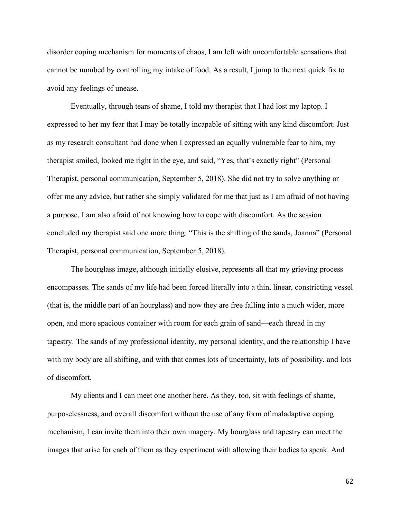disorder coping mechanism for moments of chaos, I am left with uncomfortable sensations that cannot be numbed by controlling my intake of food. As a result, I jump to the next quick fix to avoid any feelings of unease.

Eventually, through tears of shame, I told my therapist that I had lost my laptop. I expressed to her my fear that I may be totally incapable of sitting with any kind discomfort. Just as my research consultant had done when I expressed an equally vulnerable fear to him, my therapist smiled, looked me right in the eye, and said, "Yes, that's exactly right" (Personal Therapist, personal communication, September 5, 2018). She did not try to solve anything or offer me any advice, but rather she simply validated for me that just as I am afraid of not having a purpose, I am also afraid of not knowing how to cope with discomfort. As the session concluded my therapist said one more thing: "This is the shifting of the sands, Joanna" (Personal Therapist, personal communication, September 5, 2018).

The hourglass image, although initially elusive, represents all that my grieving process encompasses. The sands of my life had been forced literally into a thin, linear, constricting vessel (that is, the middle part of an hourglass) and now they are free falling into a much wider, more open, and more spacious container with room for each grain of sand—each thread in my tapestry. The sands of my professional identity, my personal identity, and the relationship I have with my body are all shifting, and with that comes lots of uncertainty, lots of possibility, and lots of discomfort.

My clients and I can meet one another here. As they, too, sit with feelings of shame, purposelessness, and overall discomfort without the use of any form of maladaptive coping mechanism, I can invite them into their own imagery. My hourglass and tapestry can meet the images that arise for each of them as they experiment with allowing their bodies to speak. And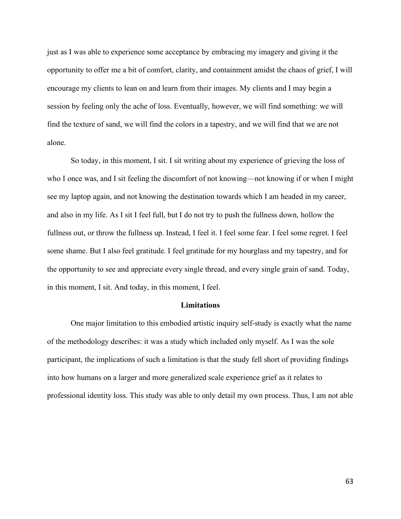just as I was able to experience some acceptance by embracing my imagery and giving it the opportunity to offer me a bit of comfort, clarity, and containment amidst the chaos of grief, I will encourage my clients to lean on and learn from their images. My clients and I may begin a session by feeling only the ache of loss. Eventually, however, we will find something: we will find the texture of sand, we will find the colors in a tapestry, and we will find that we are not alone.

So today, in this moment, I sit. I sit writing about my experience of grieving the loss of who I once was, and I sit feeling the discomfort of not knowing—not knowing if or when I might see my laptop again, and not knowing the destination towards which I am headed in my career, and also in my life. As I sit I feel full, but I do not try to push the fullness down, hollow the fullness out, or throw the fullness up. Instead, I feel it. I feel some fear. I feel some regret. I feel some shame. But I also feel gratitude. I feel gratitude for my hourglass and my tapestry, and for the opportunity to see and appreciate every single thread, and every single grain of sand. Today, in this moment, I sit. And today, in this moment, I feel.

#### **Limitations**

One major limitation to this embodied artistic inquiry self-study is exactly what the name of the methodology describes: it was a study which included only myself. As I was the sole participant, the implications of such a limitation is that the study fell short of providing findings into how humans on a larger and more generalized scale experience grief as it relates to professional identity loss. This study was able to only detail my own process. Thus, I am not able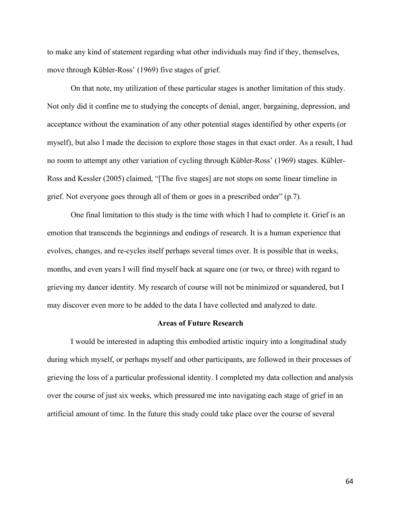to make any kind of statement regarding what other individuals may find if they, themselves, move through Kübler-Ross' (1969) five stages of grief.

On that note, my utilization of these particular stages is another limitation of this study. Not only did it confine me to studying the concepts of denial, anger, bargaining, depression, and acceptance without the examination of any other potential stages identified by other experts (or myself), but also I made the decision to explore those stages in that exact order. As a result, I had no room to attempt any other variation of cycling through Kübler-Ross' (1969) stages. Kübler-Ross and Kessler (2005) claimed, "[The five stages] are not stops on some linear timeline in grief. Not everyone goes through all of them or goes in a prescribed order" (p.7).

One final limitation to this study is the time with which I had to complete it. Grief is an emotion that transcends the beginnings and endings of research. It is a human experience that evolves, changes, and re-cycles itself perhaps several times over. It is possible that in weeks, months, and even years I will find myself back at square one (or two, or three) with regard to grieving my dancer identity. My research of course will not be minimized or squandered, but I may discover even more to be added to the data I have collected and analyzed to date.

### **Areas of Future Research**

I would be interested in adapting this embodied artistic inquiry into a longitudinal study during which myself, or perhaps myself and other participants, are followed in their processes of grieving the loss of a particular professional identity. I completed my data collection and analysis over the course of just six weeks, which pressured me into navigating each stage of grief in an artificial amount of time. In the future this study could take place over the course of several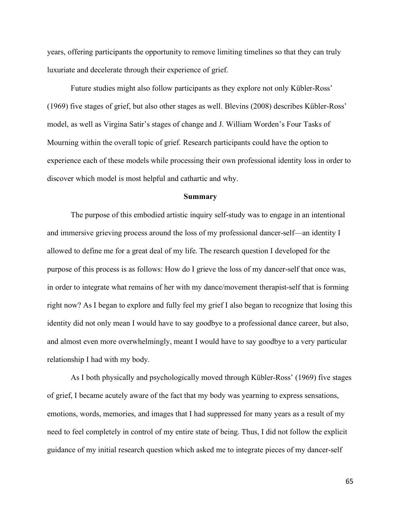years, offering participants the opportunity to remove limiting timelines so that they can truly luxuriate and decelerate through their experience of grief.

Future studies might also follow participants as they explore not only Kübler-Ross' (1969) five stages of grief, but also other stages as well. Blevins (2008) describes Kübler-Ross' model, as well as Virgina Satir's stages of change and J. William Worden's Four Tasks of Mourning within the overall topic of grief. Research participants could have the option to experience each of these models while processing their own professional identity loss in order to discover which model is most helpful and cathartic and why.

#### **Summary**

The purpose of this embodied artistic inquiry self-study was to engage in an intentional and immersive grieving process around the loss of my professional dancer-self—an identity I allowed to define me for a great deal of my life. The research question I developed for the purpose of this process is as follows: How do I grieve the loss of my dancer-self that once was, in order to integrate what remains of her with my dance/movement therapist-self that is forming right now? As I began to explore and fully feel my grief I also began to recognize that losing this identity did not only mean I would have to say goodbye to a professional dance career, but also, and almost even more overwhelmingly, meant I would have to say goodbye to a very particular relationship I had with my body.

As I both physically and psychologically moved through Kübler-Ross' (1969) five stages of grief, I became acutely aware of the fact that my body was yearning to express sensations, emotions, words, memories, and images that I had suppressed for many years as a result of my need to feel completely in control of my entire state of being. Thus, I did not follow the explicit guidance of my initial research question which asked me to integrate pieces of my dancer-self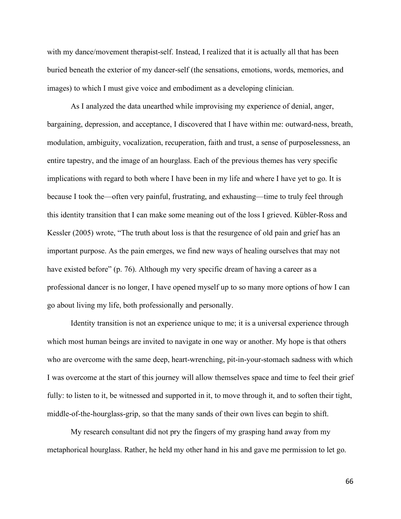with my dance/movement therapist-self. Instead, I realized that it is actually all that has been buried beneath the exterior of my dancer-self (the sensations, emotions, words, memories, and images) to which I must give voice and embodiment as a developing clinician.

As I analyzed the data unearthed while improvising my experience of denial, anger, bargaining, depression, and acceptance, I discovered that I have within me: outward-ness, breath, modulation, ambiguity, vocalization, recuperation, faith and trust, a sense of purposelessness, an entire tapestry, and the image of an hourglass. Each of the previous themes has very specific implications with regard to both where I have been in my life and where I have yet to go. It is because I took the—often very painful, frustrating, and exhausting—time to truly feel through this identity transition that I can make some meaning out of the loss I grieved. Kübler-Ross and Kessler (2005) wrote, "The truth about loss is that the resurgence of old pain and grief has an important purpose. As the pain emerges, we find new ways of healing ourselves that may not have existed before" (p. 76). Although my very specific dream of having a career as a professional dancer is no longer, I have opened myself up to so many more options of how I can go about living my life, both professionally and personally.

Identity transition is not an experience unique to me; it is a universal experience through which most human beings are invited to navigate in one way or another. My hope is that others who are overcome with the same deep, heart-wrenching, pit-in-your-stomach sadness with which I was overcome at the start of this journey will allow themselves space and time to feel their grief fully: to listen to it, be witnessed and supported in it, to move through it, and to soften their tight, middle-of-the-hourglass-grip, so that the many sands of their own lives can begin to shift.

My research consultant did not pry the fingers of my grasping hand away from my metaphorical hourglass. Rather, he held my other hand in his and gave me permission to let go.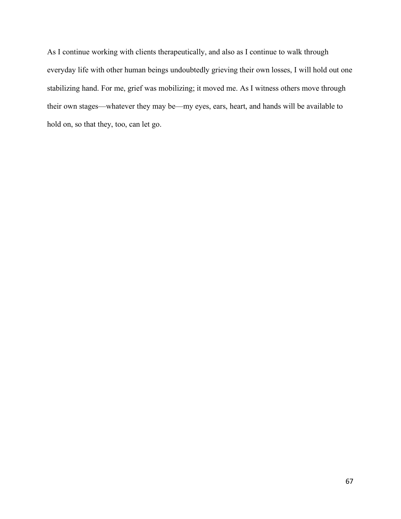As I continue working with clients therapeutically, and also as I continue to walk through everyday life with other human beings undoubtedly grieving their own losses, I will hold out one stabilizing hand. For me, grief was mobilizing; it moved me. As I witness others move through their own stages—whatever they may be—my eyes, ears, heart, and hands will be available to hold on, so that they, too, can let go.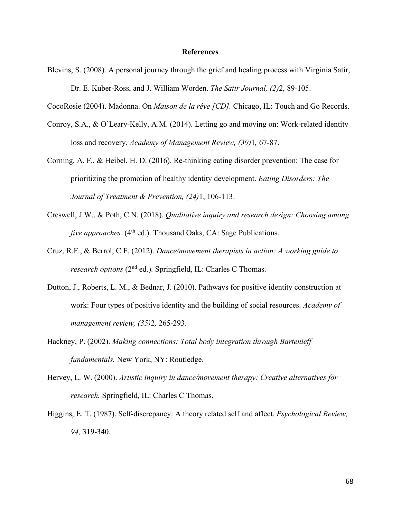## **References**

Blevins, S. (2008). A personal journey through the grief and healing process with Virginia Satir, Dr. E. Kuber-Ross, and J. William Worden. *The Satir Journal, (2)*2, 89-105.

CocoRosie (2004). Madonna. On *Maison de la rêve [CD].* Chicago, IL: Touch and Go Records.

- Conroy, S.A., & O'Leary-Kelly, A.M. (2014). Letting go and moving on: Work-related identity loss and recovery. *Academy of Management Review, (39)*1*,* 67-87.
- Corning, A. F., & Heibel, H. D. (2016). Re-thinking eating disorder prevention: The case for prioritizing the promotion of healthy identity development. *Eating Disorders: The Journal of Treatment & Prevention, (24)*1, 106-113.
- Creswell, J.W., & Poth, C.N. (2018). *Qualitative inquiry and research design: Choosing among five approaches.* (4<sup>th</sup> ed.). Thousand Oaks, CA: Sage Publications.
- Cruz, R.F., & Berrol, C.F. (2012). *Dance/movement therapists in action: A working guide to research options* (2nd ed.). Springfield, IL: Charles C Thomas.
- Dutton, J., Roberts, L. M., & Bednar, J. (2010). Pathways for positive identity construction at work: Four types of positive identity and the building of social resources. *Academy of management review, (35)*2*,* 265-293.
- Hackney, P. (2002). *Making connections: Total body integration through Bartenieff fundamentals.* New York, NY: Routledge.
- Hervey, L. W. (2000). *Artistic inquiry in dance/movement therapy: Creative alternatives for research.* Springfield, IL: Charles C Thomas.
- Higgins, E. T. (1987). Self-discrepancy: A theory related self and affect. *Psychological Review, 94,* 319-340.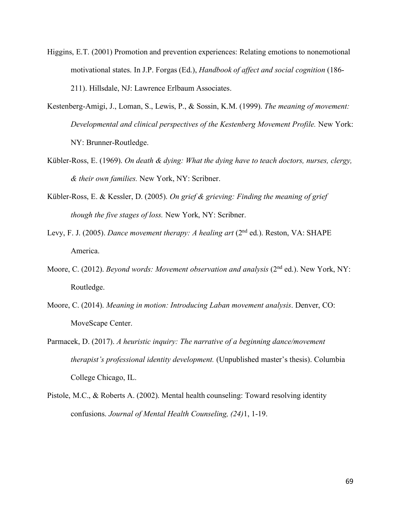- Higgins, E.T. (2001) Promotion and prevention experiences: Relating emotions to nonemotional motivational states. In J.P. Forgas (Ed.), *Handbook of affect and social cognition* (186- 211). Hillsdale, NJ: Lawrence Erlbaum Associates.
- Kestenberg-Amigi, J., Loman, S., Lewis, P., & Sossin, K.M. (1999). *The meaning of movement: Developmental and clinical perspectives of the Kestenberg Movement Profile.* New York: NY: Brunner-Routledge.
- Kübler-Ross, E. (1969). *On death & dying: What the dying have to teach doctors, nurses, clergy, & their own families.* New York, NY: Scribner.
- Kübler-Ross, E. & Kessler, D. (2005). *On grief & grieving: Finding the meaning of grief though the five stages of loss.* New York, NY: Scribner.
- Levy, F. J. (2005). *Dance movement therapy: A healing art* (2<sup>nd</sup> ed.). Reston, VA: SHAPE America.
- Moore, C. (2012). *Beyond words: Movement observation and analysis* (2<sup>nd</sup> ed.). New York, NY: Routledge.
- Moore, C. (2014). *Meaning in motion: Introducing Laban movement analysis*. Denver, CO: MoveScape Center.
- Parmacek, D. (2017). *A heuristic inquiry: The narrative of a beginning dance/movement therapist's professional identity development.* (Unpublished master's thesis). Columbia College Chicago, IL.
- Pistole, M.C., & Roberts A. (2002). Mental health counseling: Toward resolving identity confusions. *Journal of Mental Health Counseling, (24)*1, 1-19.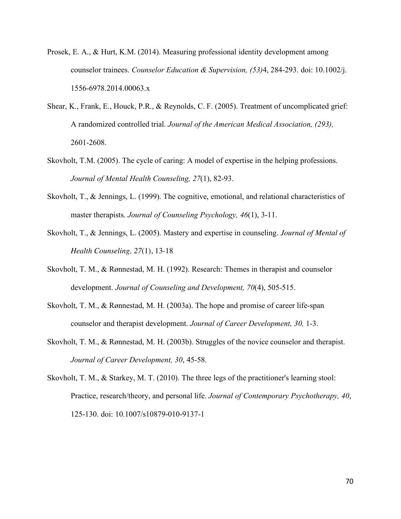- Prosek, E. A., & Hurt, K.M. (2014). Measuring professional identity development among counselor trainees. *Counselor Education & Supervision, (53)*4, 284-293. doi: 10.1002/j. 1556-6978.2014.00063.x
- Shear, K., Frank, E., Houck, P.R., & Reynolds, C. F. (2005). Treatment of uncomplicated grief: A randomized controlled trial. *Journal of the American Medical Association, (293),* 2601-2608.
- Skovholt, T.M. (2005). The cycle of caring: A model of expertise in the helping professions. *Journal of Mental Health Counseling, 27*(1), 82-93.
- Skovholt, T., & Jennings, L. (1999). The cognitive, emotional, and relational characteristics of master therapists. *Journal of Counseling Psychology, 46*(1), 3-11.
- Skovholt, T., & Jennings, L. (2005). Mastery and expertise in counseling. *Journal of Mental of Health Counseling, 27*(1), 13-18
- Skovholt, T. M., & Rønnestad, M. H. (1992). Research: Themes in therapist and counselor development. *Journal of Counseling and Development, 70*(4), 505-515.
- Skovholt, T. M., & Rønnestad, M. H. (2003a). The hope and promise of career life-span counselor and therapist development. *Journal of Career Development, 30,* 1-3.
- Skovholt, T. M., & Rønnestad, M. H. (2003b). Struggles of the novice counselor and therapist. *Journal of Career Development, 30*, 45-58.
- Skovholt, T. M., & Starkey, M. T. (2010). The three legs of the practitioner's learning stool: Practice, research/theory, and personal life. *Journal of Contemporary Psychotherapy, 40*, 125-130. doi: 10.1007/s10879-010-9137-1